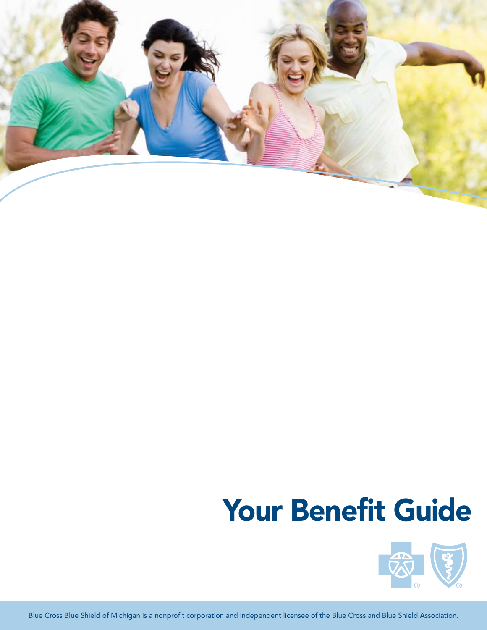

# Your Benefit Guide



Blue Cross Blue Shield of Michigan is a nonprofit corporation and independent licensee of the Blue Cross and Blue Shield Association.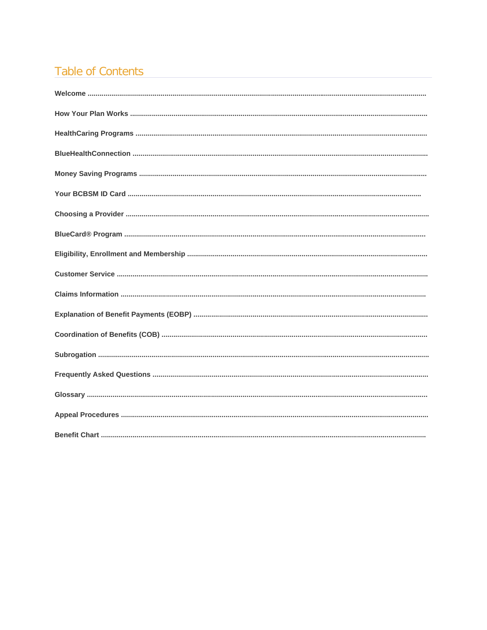# **Table of Contents**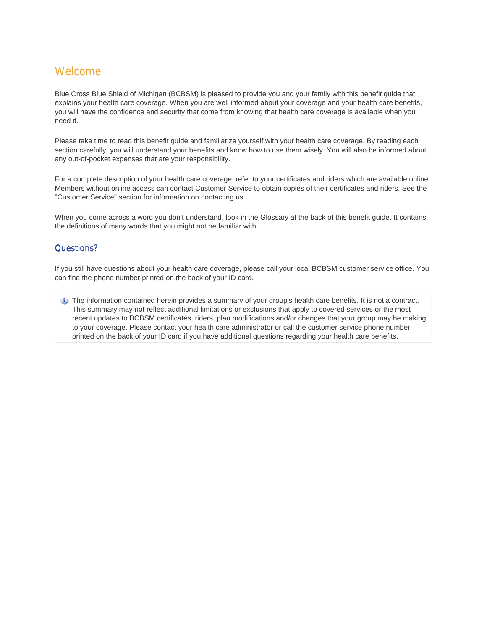# Welcome

Blue Cross Blue Shield of Michigan (BCBSM) is pleased to provide you and your family with this benefit guide that explains your health care coverage. When you are well informed about your coverage and your health care benefits, you will have the confidence and security that come from knowing that health care coverage is available when you need it.

Please take time to read this benefit guide and familiarize yourself with your health care coverage. By reading each section carefully, you will understand your benefits and know how to use them wisely. You will also be informed about any out-of-pocket expenses that are your responsibility.

For a complete description of your health care coverage, refer to your certificates and riders which are available online. Members without online access can contact Customer Service to obtain copies of their certificates and riders. See the "Customer Service" section for information on contacting us.

When you come across a word you don't understand, look in the Glossary at the back of this benefit guide. It contains the definitions of many words that you might not be familiar with.

# Questions?

If you still have questions about your health care coverage, please call your local BCBSM customer service office. You can find the phone number printed on the back of your ID card.

The information contained herein provides a summary of your group's health care benefits. It is not a contract. This summary may not reflect additional limitations or exclusions that apply to covered services or the most recent updates to BCBSM certificates, riders, plan modifications and/or changes that your group may be making to your coverage. Please contact your health care administrator or call the customer service phone number printed on the back of your ID card if you have additional questions regarding your health care benefits.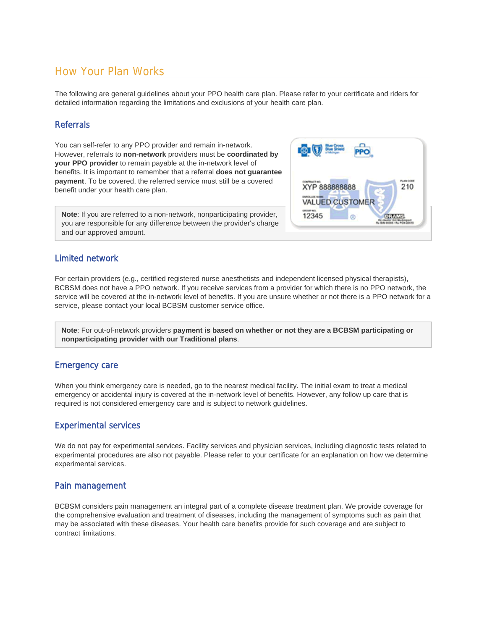# How Your Plan Works

The following are general guidelines about your PPO health care plan. Please refer to your certificate and riders for detailed information regarding the limitations and exclusions of your health care plan.

# Referrals

You can self-refer to any PPO provider and remain in-network. However, referrals to **non-network** providers must be **coordinated by your PPO provider** to remain payable at the in-network level of benefits. It is important to remember that a referral **does not guarantee payment**. To be covered, the referred service must still be a covered benefit under your health care plan.

**Note**: If you are referred to a non-network, nonparticipating provider, you are responsible for any difference between the provider's charge and our approved amount.

# Limited network

For certain providers (e.g., certified registered nurse anesthetists and independent licensed physical therapists), BCBSM does not have a PPO network. If you receive services from a provider for which there is no PPO network, the service will be covered at the in-network level of benefits. If you are unsure whether or not there is a PPO network for a service, please contact your local BCBSM customer service office.

**Note**: For out-of-network providers **payment is based on whether or not they are a BCBSM participating or nonparticipating provider with our Traditional plans**.

# Emergency care

When you think emergency care is needed, go to the nearest medical facility. The initial exam to treat a medical emergency or accidental injury is covered at the in-network level of benefits. However, any follow up care that is required is not considered emergency care and is subject to network guidelines.

# Experimental services

We do not pay for experimental services. Facility services and physician services, including diagnostic tests related to experimental procedures are also not payable. Please refer to your certificate for an explanation on how we determine experimental services.

# Pain management

BCBSM considers pain management an integral part of a complete disease treatment plan. We provide coverage for the comprehensive evaluation and treatment of diseases, including the management of symptoms such as pain that may be associated with these diseases. Your health care benefits provide for such coverage and are subject to contract limitations.

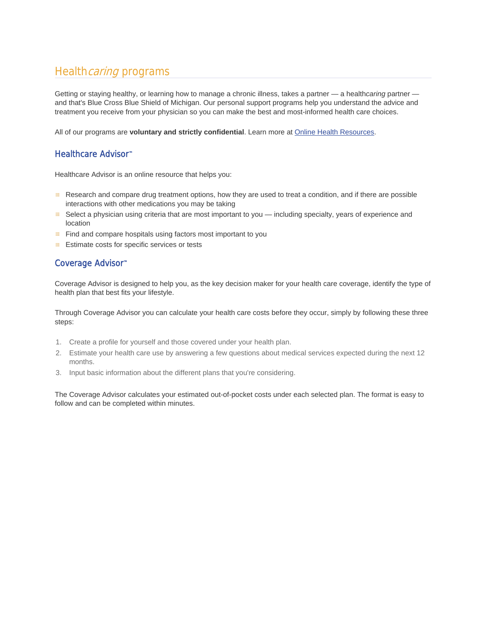# Healthcaring programs

Getting or staying healthy, or learning how to manage a chronic illness, takes a partner — a health*caring* partner and that's Blue Cross Blue Shield of Michigan. Our personal support programs help you understand the advice and treatment you receive from your physician so you can make the best and most-informed health care choices.

All of our programs are **voluntary and strictly confidential**. Learn more at Online Health Resources.

# Healthcare Advisor™

Healthcare Advisor is an online resource that helps you:

- **Research and compare drug treatment options, how they are used to treat a condition, and if there are possible** interactions with other medications you may be taking
- Select a physician using criteria that are most important to you including specialty, years of experience and location
- $\equiv$  Find and compare hospitals using factors most important to you
- **Estimate costs for specific services or tests**

# Coverage Advisor™

Coverage Advisor is designed to help you, as the key decision maker for your health care coverage, identify the type of health plan that best fits your lifestyle.

Through Coverage Advisor you can calculate your health care costs before they occur, simply by following these three steps:

- 1. Create a profile for yourself and those covered under your health plan.
- 2. Estimate your health care use by answering a few questions about medical services expected during the next 12 months.
- 3. Input basic information about the different plans that you're considering.

The Coverage Advisor calculates your estimated out-of-pocket costs under each selected plan. The format is easy to follow and can be completed within minutes.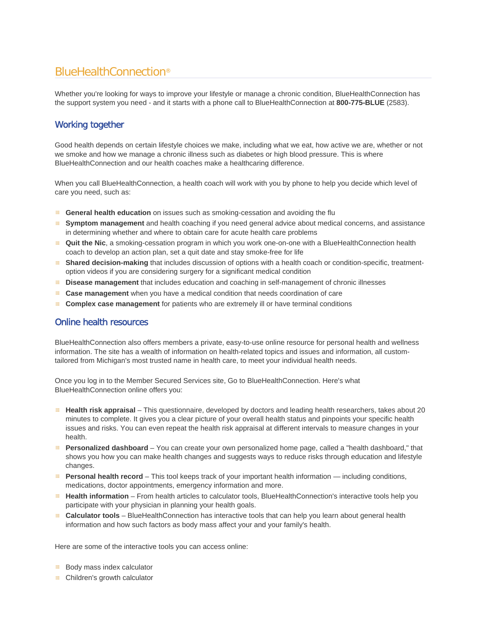# BlueHealthConnection®

Whether you're looking for ways to improve your lifestyle or manage a chronic condition, BlueHealthConnection has the support system you need - and it starts with a phone call to BlueHealthConnection at **800-775-BLUE** (2583).

# Working together

Good health depends on certain lifestyle choices we make, including what we eat, how active we are, whether or not we smoke and how we manage a chronic illness such as diabetes or high blood pressure. This is where BlueHealthConnection and our health coaches make a healthcaring difference.

When you call BlueHealthConnection, a health coach will work with you by phone to help you decide which level of care you need, such as:

- **General health education** on issues such as smoking-cessation and avoiding the flu
- **Symptom management** and health coaching if you need general advice about medical concerns, and assistance in determining whether and where to obtain care for acute health care problems
- **Quit the Nic**, a smoking-cessation program in which you work one-on-one with a BlueHealthConnection health coach to develop an action plan, set a quit date and stay smoke-free for life
- **Shared decision-making** that includes discussion of options with a health coach or condition-specific, treatmentoption videos if you are considering surgery for a significant medical condition
- **Disease management** that includes education and coaching in self-management of chronic illnesses 田
- **Case management** when you have a medical condition that needs coordination of care
- 田 **Complex case management** for patients who are extremely ill or have terminal conditions

# Online health resources

BlueHealthConnection also offers members a private, easy-to-use online resource for personal health and wellness information. The site has a wealth of information on health-related topics and issues and information, all customtailored from Michigan's most trusted name in health care, to meet your individual health needs.

Once you log in to the Member Secured Services site, Go to BlueHealthConnection. Here's what BlueHealthConnection online offers you:

- **Health risk appraisal** This questionnaire, developed by doctors and leading health researchers, takes about 20 minutes to complete. It gives you a clear picture of your overall health status and pinpoints your specific health issues and risks. You can even repeat the health risk appraisal at different intervals to measure changes in your health.
- **Personalized dashboard** You can create your own personalized home page, called a "health dashboard," that shows you how you can make health changes and suggests ways to reduce risks through education and lifestyle changes.
- **Personal health record** This tool keeps track of your important health information including conditions, medications, doctor appointments, emergency information and more.
- **Health information** From health articles to calculator tools, BlueHealthConnection's interactive tools help you 田. participate with your physician in planning your health goals.
- **Calculator tools** BlueHealthConnection has interactive tools that can help you learn about general health information and how such factors as body mass affect your and your family's health.

Here are some of the interactive tools you can access online:

- **Body mass index calculator**
- **E** Children's growth calculator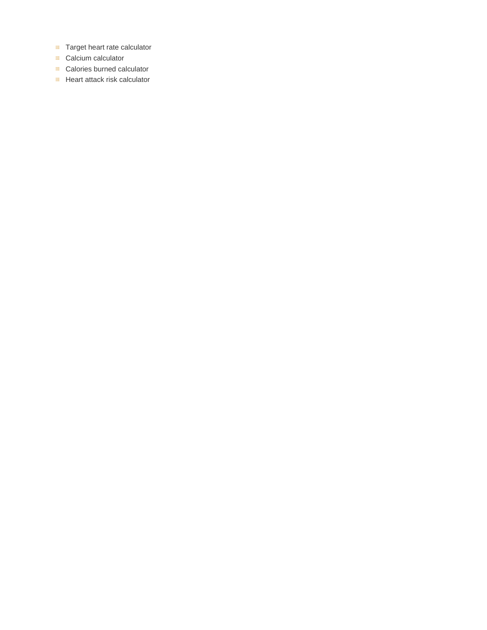- **Target heart rate calculator**
- Calcium calculator
- **E** Calories burned calculator
- **Heart attack risk calculator**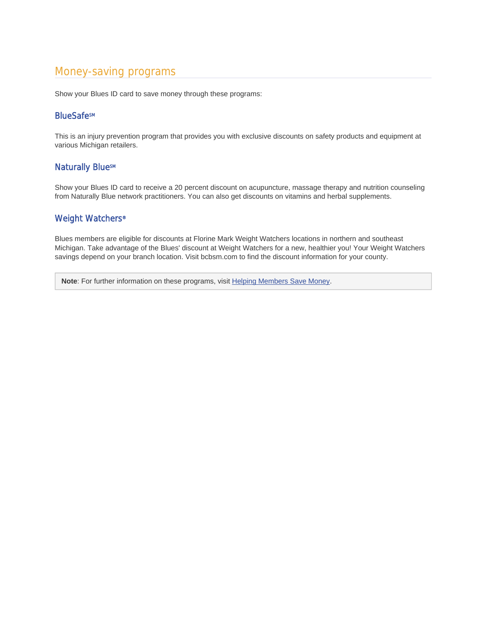# Money-saving programs

Show your Blues ID card to save money through these programs:

# **BlueSafesM**

This is an injury prevention program that provides you with exclusive discounts on safety products and equipment at various Michigan retailers.

# **Naturally BlueSM**

Show your Blues ID card to receive a 20 percent discount on acupuncture, massage therapy and nutrition counseling from Naturally Blue network practitioners. You can also get discounts on vitamins and herbal supplements.

# Weight Watchers®

Blues members are eligible for discounts at Florine Mark Weight Watchers locations in northern and southeast Michigan. Take advantage of the Blues' discount at Weight Watchers for a new, healthier you! Your Weight Watchers savings depend on your branch location. Visit bcbsm.com to find the discount information for your county.

**Note:** For further information on these programs, visit Helping Members Save Money.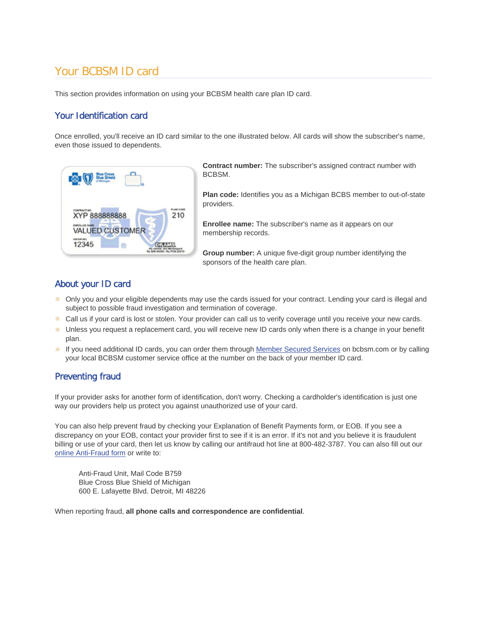# Your BCBSM ID card

This section provides information on using your BCBSM health care plan ID card.

# Your Identification card

Once enrolled, you'll receive an ID card similar to the one illustrated below. All cards will show the subscriber's name, even those issued to dependents.



**Contract number:** The subscriber's assigned contract number with BCBSM.

**Plan code:** Identifies you as a Michigan BCBS member to out-of-state providers.

**Enrollee name:** The subscriber's name as it appears on our membership records.

**Group number:** A unique five-digit group number identifying the sponsors of the health care plan.

# About your ID card

- Only you and your eligible dependents may use the cards issued for your contract. Lending your card is illegal and subject to possible fraud investigation and termination of coverage.
- Call us if your card is lost or stolen. Your provider can call us to verify coverage until you receive your new cards.
- Unless you request a replacement card, you will receive new ID cards only when there is a change in your benefit plan.
- If you need additional ID cards, you can order them through Member Secured Services on bcbsm.com or by calling your local BCBSM customer service office at the number on the back of your member ID card.

# Preventing fraud

If your provider asks for another form of identification, don't worry. Checking a cardholder's identification is just one way our providers help us protect you against unauthorized use of your card.

You can also help prevent fraud by checking your Explanation of Benefit Payments form, or EOB. If you see a discrepancy on your EOB, contact your provider first to see if it is an error. If it's not and you believe it is fraudulent billing or use of your card, then let us know by calling our antifraud hot line at 800-482-3787. You can also fill out our online Anti-Fraud form or write to:

Anti-Fraud Unit, Mail Code B759 Blue Cross Blue Shield of Michigan 600 E. Lafayette Blvd. Detroit, MI 48226

When reporting fraud, **all phone calls and correspondence are confidential**.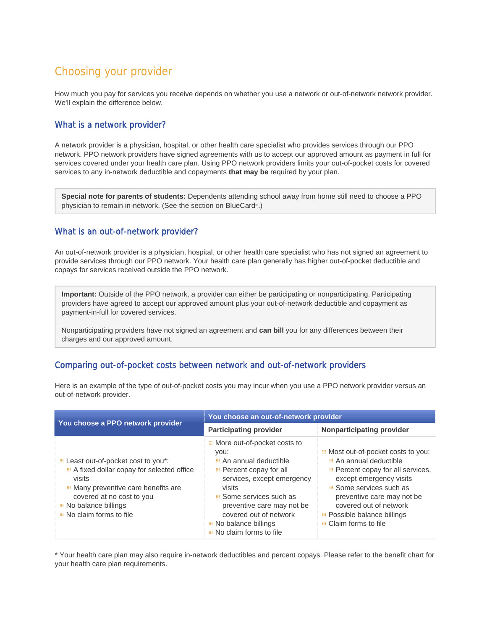# Choosing your provider

How much you pay for services you receive depends on whether you use a network or out-of-network network provider. We'll explain the difference below.

# What is a network provider?

A network provider is a physician, hospital, or other health care specialist who provides services through our PPO network. PPO network providers have signed agreements with us to accept our approved amount as payment in full for services covered under your health care plan. Using PPO network providers limits your out-of-pocket costs for covered services to any in-network deductible and copayments **that may be** required by your plan.

**Special note for parents of students:** Dependents attending school away from home still need to choose a PPO physician to remain in-network. (See the section on BlueCard®.)

# What is an out-of-network provider?

An out-of-network provider is a physician, hospital, or other health care specialist who has not signed an agreement to provide services through our PPO network. Your health care plan generally has higher out-of-pocket deductible and copays for services received outside the PPO network.

**Important:** Outside of the PPO network, a provider can either be participating or nonparticipating. Participating providers have agreed to accept our approved amount plus your out-of-network deductible and copayment as payment-in-full for covered services.

Nonparticipating providers have not signed an agreement and **can bill** you for any differences between their charges and our approved amount.

# Comparing out-of-pocket costs between network and out-of-network providers

Here is an example of the type of out-of-pocket costs you may incur when you use a PPO network provider versus an out-of-network provider.

| You choose a PPO network provider                                                                                                                                                                            | You choose an out-of-network provider                                                                                                                                                                                                                                                     |                                                                                                                                                                                                                                                                                        |  |
|--------------------------------------------------------------------------------------------------------------------------------------------------------------------------------------------------------------|-------------------------------------------------------------------------------------------------------------------------------------------------------------------------------------------------------------------------------------------------------------------------------------------|----------------------------------------------------------------------------------------------------------------------------------------------------------------------------------------------------------------------------------------------------------------------------------------|--|
|                                                                                                                                                                                                              | <b>Participating provider</b>                                                                                                                                                                                                                                                             | <b>Nonparticipating provider</b>                                                                                                                                                                                                                                                       |  |
| Least out-of-pocket cost to you*:<br>A fixed dollar copay for selected office<br>visits<br>Many preventive care benefits are<br>covered at no cost to you<br>No balance billings<br>■ No claim forms to file | <b>E</b> More out-of-pocket costs to<br>you:<br>An annual deductible<br>$\equiv$ Percent copay for all<br>services, except emergency<br>visits<br><b>E</b> Some services such as<br>preventive care may not be<br>covered out of network<br>No balance billings<br>No claim forms to file | Most out-of-pocket costs to you:<br>An annual deductible<br>Percent copay for all services,<br>except emergency visits<br><b>B</b> Some services such as<br>preventive care may not be<br>covered out of network<br><b>E</b> Possible balance billings<br><b>E</b> Claim forms to file |  |

\* Your health care plan may also require in-network deductibles and percent copays. Please refer to the benefit chart for your health care plan requirements.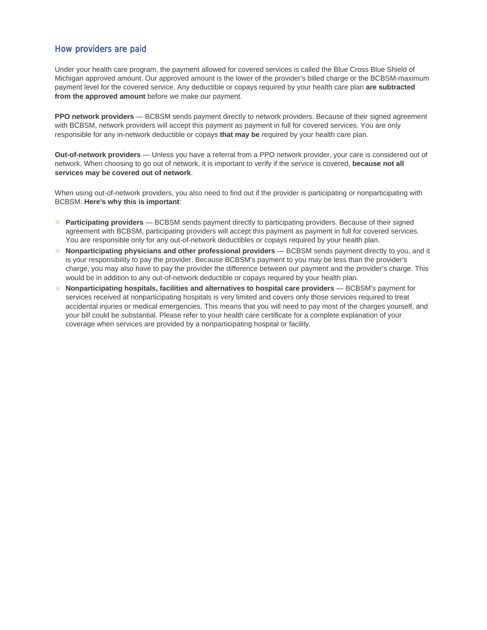# How providers are paid

Under your health care program, the payment allowed for covered services is called the Blue Cross Blue Shield of Michigan approved amount. Our approved amount is the lower of the provider's billed charge or the BCBSM-maximum payment level for the covered service. Any deductible or copays required by your health care plan **are subtracted from the approved amount** before we make our payment.

**PPO network providers** — BCBSM sends payment directly to network providers. Because of their signed agreement with BCBSM, network providers will accept this payment as payment in full for covered services. You are only responsible for any in-network deductible or copays **that may be** required by your health care plan.

**Out-of-network providers** — Unless you have a referral from a PPO network provider, your care is considered out of network. When choosing to go out of network, it is important to verify if the service is covered, **because not all services may be covered out of network**.

When using out-of-network providers, you also need to find out if the provider is participating or nonparticipating with BCBSM. **Here's why this is important**:

- **Participating providers** BCBSM sends payment directly to participating providers. Because of their signed agreement with BCBSM, participating providers will accept this payment as payment in full for covered services. You are responsible only for any out-of-network deductibles or copays required by your health plan.
- **Nonparticipating physicians and other professional providers** BCBSM sends payment directly to you, and it is your responsibility to pay the provider. Because BCBSM's payment to you may be less than the provider's charge, you may also have to pay the provider the difference between our payment and the provider's charge. This would be in addition to any out-of-network deductible or copays required by your health plan.
- **Nonparticipating hospitals, facilities and alternatives to hospital care providers** BCBSM's payment for services received at nonparticipating hospitals is very limited and covers only those services required to treat accidental injuries or medical emergencies. This means that you will need to pay most of the charges yourself, and your bill could be substantial. Please refer to your health care certificate for a complete explanation of your coverage when services are provided by a nonparticipating hospital or facility.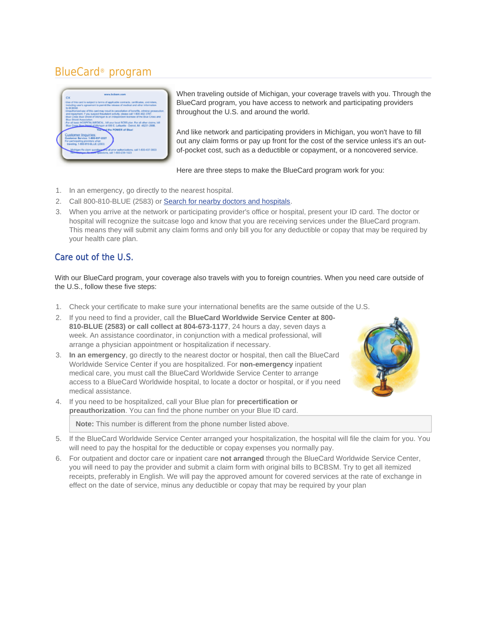# BlueCard® program



When traveling outside of Michigan, your coverage travels with you. Through the BlueCard program, you have access to network and participating providers throughout the U.S. and around the world.

And like network and participating providers in Michigan, you won't have to fill out any claim forms or pay up front for the cost of the service unless it's an outof-pocket cost, such as a deductible or copayment, or a noncovered service.

Here are three steps to make the BlueCard program work for you:

- 1. In an emergency, go directly to the nearest hospital.
- 2. Call 800-810-BLUE (2583) or Search for nearby doctors and hospitals.
- 3. When you arrive at the network or participating provider's office or hospital, present your ID card. The doctor or hospital will recognize the suitcase logo and know that you are receiving services under the BlueCard program. This means they will submit any claim forms and only bill you for any deductible or copay that may be required by your health care plan.

# Care out of the U.S.

With our BlueCard program, your coverage also travels with you to foreign countries. When you need care outside of the U.S., follow these five steps:

- 1. Check your certificate to make sure your international benefits are the same outside of the U.S.
- 2. If you need to find a provider, call the **BlueCard Worldwide Service Center at 800- 810-BLUE (2583) or call collect at 804-673-1177**, 24 hours a day, seven days a week. An assistance coordinator, in conjunction with a medical professional, will arrange a physician appointment or hospitalization if necessary.
- 3. **In an emergency**, go directly to the nearest doctor or hospital, then call the BlueCard Worldwide Service Center if you are hospitalized. For **non-emergency** inpatient medical care, you must call the BlueCard Worldwide Service Center to arrange access to a BlueCard Worldwide hospital, to locate a doctor or hospital, or if you need medical assistance.
- 4. If you need to be hospitalized, call your Blue plan for **precertification or preauthorization**. You can find the phone number on your Blue ID card.

**Note:** This number is different from the phone number listed above.



- 5. If the BlueCard Worldwide Service Center arranged your hospitalization, the hospital will file the claim for you. You will need to pay the hospital for the deductible or copay expenses you normally pay.
- 6. For outpatient and doctor care or inpatient care **not arranged** through the BlueCard Worldwide Service Center, you will need to pay the provider and submit a claim form with original bills to BCBSM. Try to get all itemized receipts, preferably in English. We will pay the approved amount for covered services at the rate of exchange in effect on the date of service, minus any deductible or copay that may be required by your plan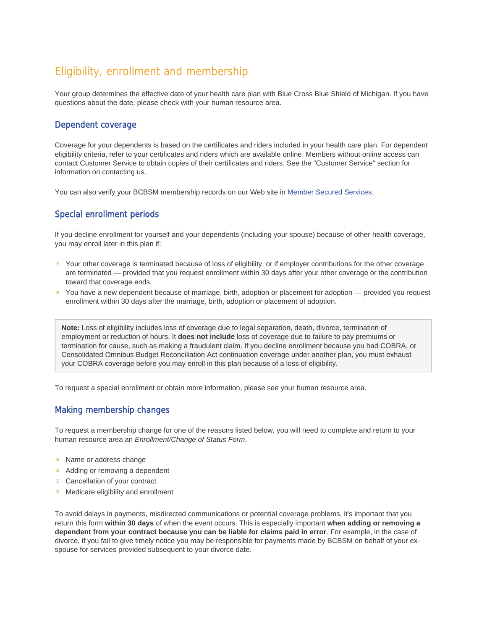# Eligibility, enrollment and membership

Your group determines the effective date of your health care plan with Blue Cross Blue Shield of Michigan. If you have questions about the date, please check with your human resource area.

# Dependent coverage

Coverage for your dependents is based on the certificates and riders included in your health care plan. For dependent eligibility criteria, refer to your certificates and riders which are available online. Members without online access can contact Customer Service to obtain copies of their certificates and riders. See the "Customer Service" section for information on contacting us.

You can also verify your BCBSM membership records on our Web site in Member Secured Services.

# Special enrollment periods

If you decline enrollment for yourself and your dependents (including your spouse) because of other health coverage, you may enroll later in this plan if:

- Your other coverage is terminated because of loss of eligibility, or if employer contributions for the other coverage are terminated — provided that you request enrollment within 30 days after your other coverage or the contribution toward that coverage ends.
- You have a new dependent because of marriage, birth, adoption or placement for adoption provided you request enrollment within 30 days after the marriage, birth, adoption or placement of adoption.

**Note:** Loss of eligibility includes loss of coverage due to legal separation, death, divorce, termination of employment or reduction of hours. It **does not include** loss of coverage due to failure to pay premiums or termination for cause, such as making a fraudulent claim. If you decline enrollment because you had COBRA, or Consolidated Omnibus Budget Reconciliation Act continuation coverage under another plan, you must exhaust your COBRA coverage before you may enroll in this plan because of a loss of eligibility.

To request a special enrollment or obtain more information, please see your human resource area.

# Making membership changes

To request a membership change for one of the reasons listed below, you will need to complete and return to your human resource area an *Enrollment/Change of Status Form*.

- Name or address change
- Adding or removing a dependent
- **E** Cancellation of your contract
- **E** Medicare eligibility and enrollment

To avoid delays in payments, misdirected communications or potential coverage problems, it's important that you return this form **within 30 days** of when the event occurs. This is especially important **when adding or removing a dependent from your contract because you can be liable for claims paid in error**. For example, in the case of divorce, if you fail to give timely notice you may be responsible for payments made by BCBSM on behalf of your exspouse for services provided subsequent to your divorce date.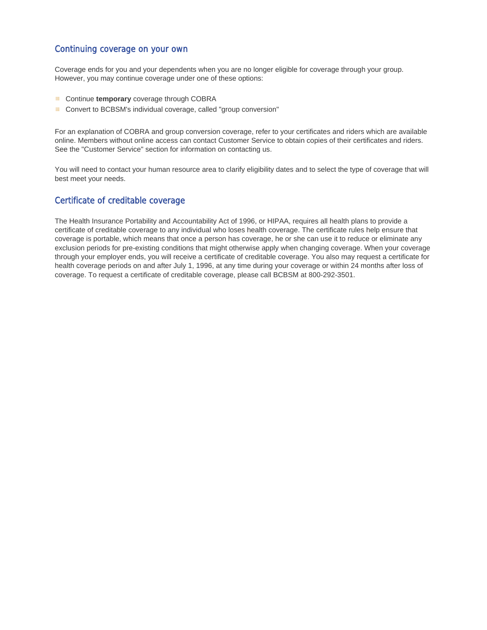# Continuing coverage on your own

Coverage ends for you and your dependents when you are no longer eligible for coverage through your group. However, you may continue coverage under one of these options:

- **E** Continue **temporary** coverage through COBRA
- Convert to BCBSM's individual coverage, called "group conversion"

For an explanation of COBRA and group conversion coverage, refer to your certificates and riders which are available online. Members without online access can contact Customer Service to obtain copies of their certificates and riders. See the "Customer Service" section for information on contacting us.

You will need to contact your human resource area to clarify eligibility dates and to select the type of coverage that will best meet your needs.

# Certificate of creditable coverage

The Health Insurance Portability and Accountability Act of 1996, or HIPAA, requires all health plans to provide a certificate of creditable coverage to any individual who loses health coverage. The certificate rules help ensure that coverage is portable, which means that once a person has coverage, he or she can use it to reduce or eliminate any exclusion periods for pre-existing conditions that might otherwise apply when changing coverage. When your coverage through your employer ends, you will receive a certificate of creditable coverage. You also may request a certificate for health coverage periods on and after July 1, 1996, at any time during your coverage or within 24 months after loss of coverage. To request a certificate of creditable coverage, please call BCBSM at 800-292-3501.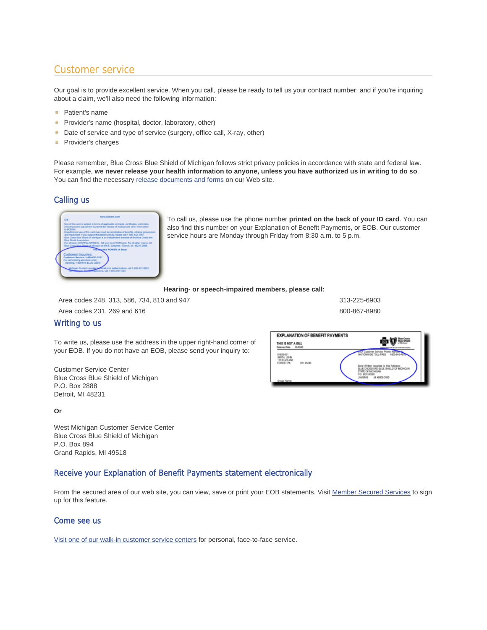# Customer service

Our goal is to provide excellent service. When you call, please be ready to tell us your contract number; and if you're inquiring about a claim, we'll also need the following information:

- Patient's name
- **E** Provider's name (hospital, doctor, laboratory, other)
- Date of service and type of service (surgery, office call, X-ray, other)
- 田. Provider's charges

Please remember, Blue Cross Blue Shield of Michigan follows strict privacy policies in accordance with state and federal law. For example, **we never release your health information to anyone, unless you have authorized us in writing to do so**. You can find the necessary release documents and forms on our Web site.

# Calling us



To call us, please use the phone number **printed on the back of your ID card**. You can also find this number on your Explanation of Benefit Payments, or EOB. Our customer service hours are Monday through Friday from 8:30 a.m. to 5 p.m.

#### **Hearing- or speech-impaired members, please call:**

Area codes 248, 313, 586, 734, 810 and 947 313-225-6903

Area codes 231, 269 and 616 800-867-8980 and 616

# Writing to us

To write us, please use the address in the upper right-hand corner of your EOB. If you do not have an EOB, please send your inquiry to:

Customer Service Center Blue Cross Blue Shield of Michigan P.O. Box 2888 Detroit, MI 48231

**Or**

West Michigan Customer Service Center Blue Cross Blue Shield of Michigan P.O. Box 894 Grand Rapids, MI 49518

# Receive your Explanation of Benefit Payments statement electronically

From the secured area of our web site, you can view, save or print your EOB statements. Visit Member Secured Services to sign up for this feature.

# Come see us

Visit one of our walk-in customer service centers for personal, face-to-face service.

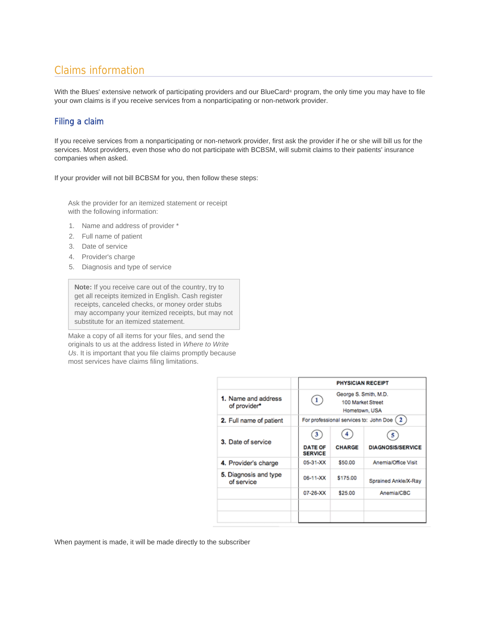# Claims information

With the Blues' extensive network of participating providers and our BlueCard® program, the only time you may have to file your own claims is if you receive services from a nonparticipating or non-network provider.

# Filing a claim

If you receive services from a nonparticipating or non-network provider, first ask the provider if he or she will bill us for the services. Most providers, even those who do not participate with BCBSM, will submit claims to their patients' insurance companies when asked.

If your provider will not bill BCBSM for you, then follow these steps:

Ask the provider for an itemized statement or receipt with the following information:

- 1. Name and address of provider \*
- 2. Full name of patient
- 3. Date of service
- 4. Provider's charge
- 5. Diagnosis and type of service

**Note:** If you receive care out of the country, try to get all receipts itemized in English. Cash register receipts, canceled checks, or money order stubs may accompany your itemized receipts, but may not substitute for an itemized statement.

Make a copy of all items for your files, and send the originals to us at the address listed in *Where to Write Us*. It is important that you file claims promptly because most services have claims filing limitations.

|                                     |                                       | <b>PHYSICIAN RECEIPT</b>                                    |                               |  |
|-------------------------------------|---------------------------------------|-------------------------------------------------------------|-------------------------------|--|
| 1. Name and address<br>of provider* | $\mathbf{1}$                          | George S. Smith, M.D.<br>100 Market Street<br>Hometown, USA |                               |  |
| 2. Full name of patient             |                                       | For professional services to: John Doe (2)                  |                               |  |
| 3. Date of service                  | 3<br><b>DATE OF</b><br><b>SERVICE</b> | <b>CHARGE</b>                                               | 5<br><b>DIAGNOSIS/SERVICE</b> |  |
| 4. Provider's charge                | 05-31-XX                              | \$50.00                                                     | Anemia/Office Visit           |  |
| 5. Diagnosis and type<br>of service | 06-11-XX                              | \$175.00                                                    | Sprained Ankle/X-Ray          |  |
|                                     | 07-26-XX                              | \$25.00                                                     | Anemia/CBC                    |  |
|                                     |                                       |                                                             |                               |  |
|                                     |                                       |                                                             |                               |  |

When payment is made, it will be made directly to the subscriber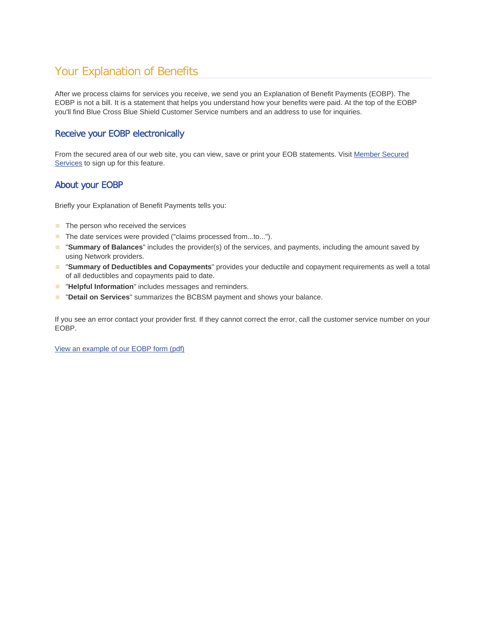# Your Explanation of Benefits

After we process claims for services you receive, we send you an Explanation of Benefit Payments (EOBP). The EOBP is not a bill. It is a statement that helps you understand how your benefits were paid. At the top of the EOBP you'll find Blue Cross Blue Shield Customer Service numbers and an address to use for inquiries.

# Receive your EOBP electronically

From the secured area of our web site, you can view, save or print your EOB statements. Visit Member Secured Services to sign up for this feature.

# About your EOBP

Briefly your Explanation of Benefit Payments tells you:

- **EXECUTE:** The person who received the services
- **E** The date services were provided ("claims processed from...to...").
- "**Summary of Balances**" includes the provider(s) of the services, and payments, including the amount saved by using Network providers.
- "**Summary of Deductibles and Copayments**" provides your deductile and copayment requirements as well a total of all deductibles and copayments paid to date.
- **E** "Helpful Information" includes messages and reminders.
- **E "Detail on Services"** summarizes the BCBSM payment and shows your balance.

If you see an error contact your provider first. If they cannot correct the error, call the customer service number on your EOBP.

View an example of our EOBP form (pdf)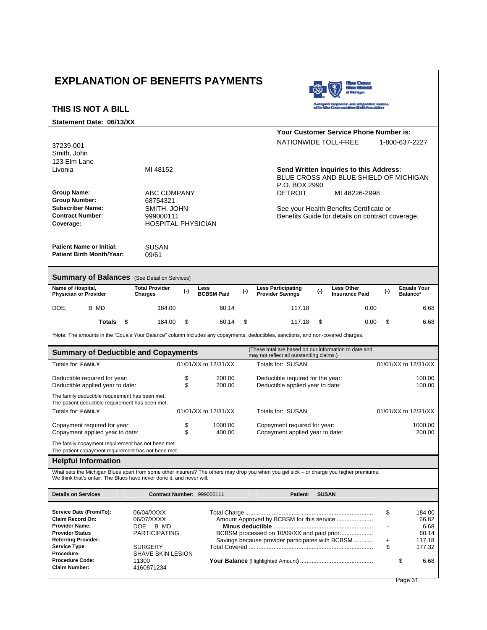## **EXPLANATION OF BENEFITS PAYMENTS THIS IS NOT A BILL Statement Date: 06/13/XX** 37239-001 Smith, John **Your Customer Service Phone Number is:**  NATIONWIDE TOLL-FREE 1-800-637-2227 123 Elm Lane Livonia MI 48152 **Send Written Inquiries to this Address:** BLUE CROSS AND BLUE SHIELD OF MICHIGAN P.O. BOX 2990 **Group Name:** ABC COMPANY DETROIT MI 48226-2998 **Group Number:** 68754321 **Subscriber Name:** SMITH, JOHN See your Health Benefits Certificate or<br> **Contract Number:** 9990000111 **Contract Number:** 999000111 999000111<br> **Coverage: Coverage: Coverage: Coverage: Coverage: Coverage: Coverage: Coverage: Coverage: Coverage: Coverage: Coverage: Coverage: Coverage: Coverage:** HOSPITAL PHYSICIAN **Patient Name or Initial:** SUSAN<br>**Patient Birth Month/Year:** 09/61 **Patient Birth Month/Year: Summary of Balances** (See Detail on Services) **Name of Hospital, Physician or Provider Total Provider Charges (-) Less BCBSM Paid (-) Less Participating Provider Savings (-) Less Other Insurance Paid (-) Equals Your Balance\*** DOE, B MD 184.00 60.14 117.18 0.00 6.68  **Totals \$** 184.00 \$ 60.14 \$ 117.18 \$ 0.00 \$ 6.68 \*Note: The amounts in the "Equals Your Balance" column includes any copayments, deductibles, sanctions, and non-covered charges. **Summary of Deductible and Copayments** (These total are based on our information to date and **Summary of Deductible and Copayments** may not reflect all outstanding claims.) Totals for: FAMILY **COMIC 12/31/XX** to 12/31/XX to 12/31/XX Totals for: SUSAN 01/01/XX to 12/31/XX Deductible required for year:  $\frac{100.00}{200.00}$  Deductible required for the year: 100.00<br>Deductible applied year to date:  $\frac{200.00}{200.00}$  Deductible applied year to date: 100.00 Deductible applied year to date: The family deductible requirement has been met. The patient deductible requirement has been met. Totals for: **FAMILY** 01/01/XX to 12/31/XX Totals for: SUSAN 01/01/XX to 12/31/XX Copayment required for year:  $\frac{1000.00}{9}$  1000.00 Copayment required for year: 1000.00 Copayment applied year to date: 200.00 Copayment applied year to date: The family copayment requirement has not been met. The patient copayment requirement has not been met. **Helpful Information**  What sets the Michigan Blues apart from some other insurers? The others may drop you when you get sick – or charge you higher premiums. We think that's unfair. The Blues have never done it, and never will. **Details on Services Contract Number:** 999000111 **Patient**: **SUSAN Service Date (From/To):** 06/04/XXXX Total Charge ............................................................................. \$ 184.00 **Claim Record On:** 06/07/XXXX Amount Approved by BCBSM for this service ...................... 66.82 **Provider Name:** DOE B MD **Minus deductible** ............................................................ - 6.68 **Provider Status** PARTICIPATING BCBSM processed on 10/09/XX and paid prior.................... 60.14

**Referring Provider:** Savings because provider participates with BCBSM............ + 117.18

**Procedure:** SHAVE SKIN LESION

**Claim Number:** 4160871234

**Service Type** SURGERY Total Covered ........................................................................... \$ 177.32 **Procedure Code:** 11300 **Your Balance** (Highlighted Amount**)** ............................................ \$ 6.68

Page 31 Page 31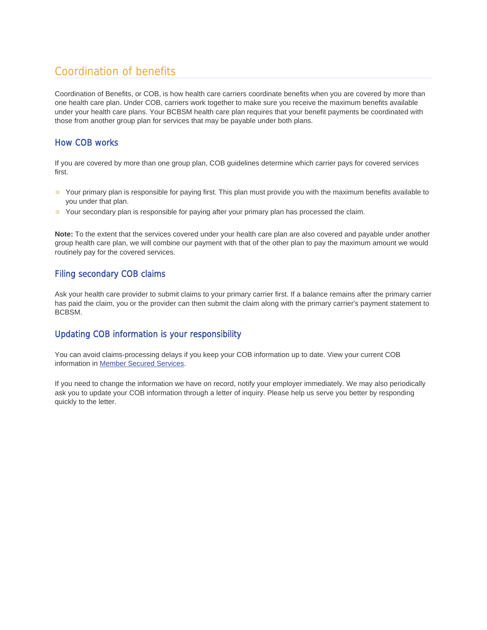# Coordination of benefits

Coordination of Benefits, or COB, is how health care carriers coordinate benefits when you are covered by more than one health care plan. Under COB, carriers work together to make sure you receive the maximum benefits available under your health care plans. Your BCBSM health care plan requires that your benefit payments be coordinated with those from another group plan for services that may be payable under both plans.

# How COB works

If you are covered by more than one group plan, COB guidelines determine which carrier pays for covered services first.

- Your primary plan is responsible for paying first. This plan must provide you with the maximum benefits available to you under that plan.
- Your secondary plan is responsible for paying after your primary plan has processed the claim.

**Note:** To the extent that the services covered under your health care plan are also covered and payable under another group health care plan, we will combine our payment with that of the other plan to pay the maximum amount we would routinely pay for the covered services.

# Filing secondary COB claims

Ask your health care provider to submit claims to your primary carrier first. If a balance remains after the primary carrier has paid the claim, you or the provider can then submit the claim along with the primary carrier's payment statement to BCBSM.

# Updating COB information is your responsibility

You can avoid claims-processing delays if you keep your COB information up to date. View your current COB information in Member Secured Services.

If you need to change the information we have on record, notify your employer immediately. We may also periodically ask you to update your COB information through a letter of inquiry. Please help us serve you better by responding quickly to the letter.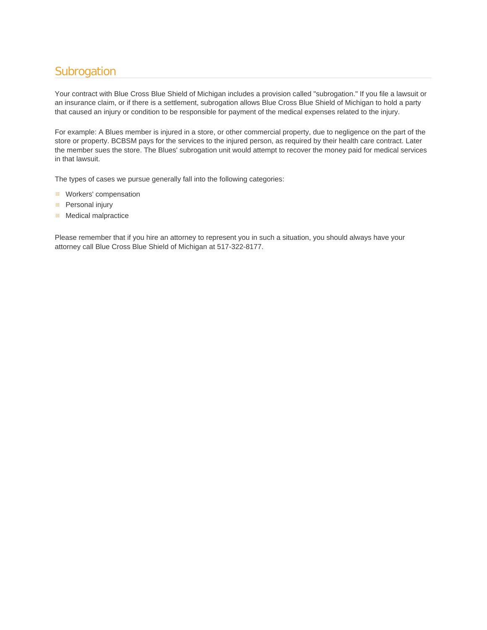# **Subrogation**

Your contract with Blue Cross Blue Shield of Michigan includes a provision called "subrogation." If you file a lawsuit or an insurance claim, or if there is a settlement, subrogation allows Blue Cross Blue Shield of Michigan to hold a party that caused an injury or condition to be responsible for payment of the medical expenses related to the injury.

For example: A Blues member is injured in a store, or other commercial property, due to negligence on the part of the store or property. BCBSM pays for the services to the injured person, as required by their health care contract. Later the member sues the store. The Blues' subrogation unit would attempt to recover the money paid for medical services in that lawsuit.

The types of cases we pursue generally fall into the following categories:

- **Workers' compensation**
- **Personal injury**
- **Medical malpractice**

Please remember that if you hire an attorney to represent you in such a situation, you should always have your attorney call Blue Cross Blue Shield of Michigan at 517-322-8177.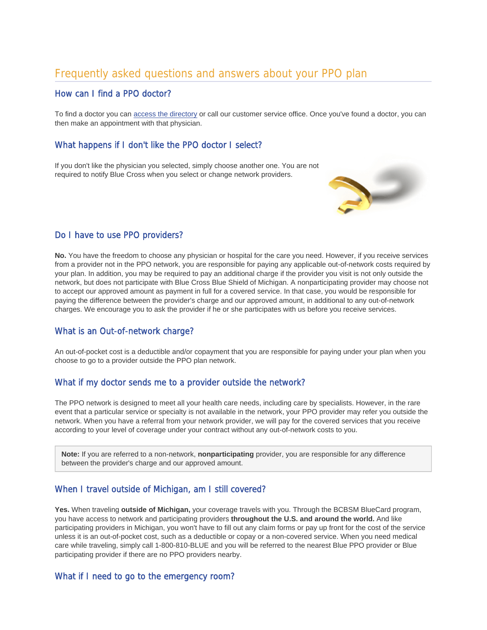# Frequently asked questions and answers about your PPO plan

# How can I find a PPO doctor?

To find a doctor you can access the directory or call our customer service office. Once you've found a doctor, you can then make an appointment with that physician.

# What happens if I don't like the PPO doctor I select?

If you don't like the physician you selected, simply choose another one. You are not required to notify Blue Cross when you select or change network providers.



# Do I have to use PPO providers?

**No.** You have the freedom to choose any physician or hospital for the care you need. However, if you receive services from a provider not in the PPO network, you are responsible for paying any applicable out-of-network costs required by your plan. In addition, you may be required to pay an additional charge if the provider you visit is not only outside the network, but does not participate with Blue Cross Blue Shield of Michigan. A nonparticipating provider may choose not to accept our approved amount as payment in full for a covered service. In that case, you would be responsible for paying the difference between the provider's charge and our approved amount, in additional to any out-of-network charges. We encourage you to ask the provider if he or she participates with us before you receive services.

# What is an Out-of-network charge?

An out-of-pocket cost is a deductible and/or copayment that you are responsible for paying under your plan when you choose to go to a provider outside the PPO plan network.

# What if my doctor sends me to a provider outside the network?

The PPO network is designed to meet all your health care needs, including care by specialists. However, in the rare event that a particular service or specialty is not available in the network, your PPO provider may refer you outside the network. When you have a referral from your network provider, we will pay for the covered services that you receive according to your level of coverage under your contract without any out-of-network costs to you.

**Note:** If you are referred to a non-network, **nonparticipating** provider, you are responsible for any difference between the provider's charge and our approved amount.

# When I travel outside of Michigan, am I still covered?

**Yes.** When traveling **outside of Michigan,** your coverage travels with you. Through the BCBSM BlueCard program, you have access to network and participating providers **throughout the U.S. and around the world.** And like participating providers in Michigan, you won't have to fill out any claim forms or pay up front for the cost of the service unless it is an out-of-pocket cost, such as a deductible or copay or a non-covered service. When you need medical care while traveling, simply call 1-800-810-BLUE and you will be referred to the nearest Blue PPO provider or Blue participating provider if there are no PPO providers nearby.

# What if I need to go to the emergency room?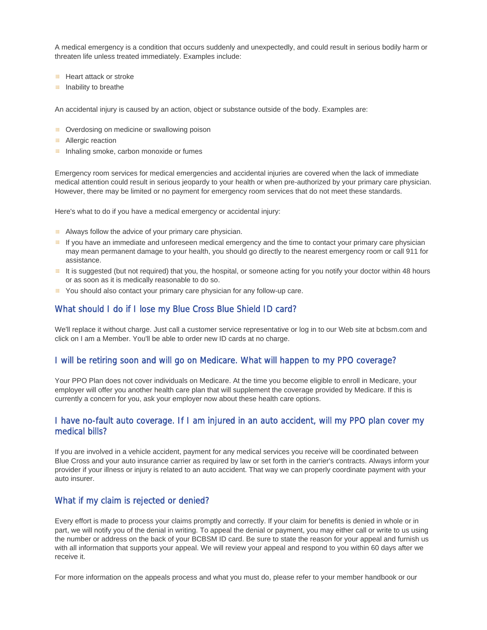A medical emergency is a condition that occurs suddenly and unexpectedly, and could result in serious bodily harm or threaten life unless treated immediately. Examples include:

- **Heart attack or stroke**
- **III** Inability to breathe

An accidental injury is caused by an action, object or substance outside of the body. Examples are:

- **E** Overdosing on medicine or swallowing poison
- **Allergic reaction**
- $\equiv$  Inhaling smoke, carbon monoxide or fumes

Emergency room services for medical emergencies and accidental injuries are covered when the lack of immediate medical attention could result in serious jeopardy to your health or when pre-authorized by your primary care physician. However, there may be limited or no payment for emergency room services that do not meet these standards.

Here's what to do if you have a medical emergency or accidental injury:

- **E** Always follow the advice of your primary care physician.
- If you have an immediate and unforeseen medical emergency and the time to contact your primary care physician may mean permanent damage to your health, you should go directly to the nearest emergency room or call 911 for assistance.
- It is suggested (but not required) that you, the hospital, or someone acting for you notify your doctor within 48 hours or as soon as it is medically reasonable to do so.
- You should also contact your primary care physician for any follow-up care.

#### What should I do if I lose my Blue Cross Blue Shield ID card?

We'll replace it without charge. Just call a customer service representative or log in to our Web site at bcbsm.com and click on I am a Member. You'll be able to order new ID cards at no charge.

# I will be retiring soon and will go on Medicare. What will happen to my PPO coverage?

Your PPO Plan does not cover individuals on Medicare. At the time you become eligible to enroll in Medicare, your employer will offer you another health care plan that will supplement the coverage provided by Medicare. If this is currently a concern for you, ask your employer now about these health care options.

# I have no-fault auto coverage. If I am injured in an auto accident, will my PPO plan cover my medical bills?

If you are involved in a vehicle accident, payment for any medical services you receive will be coordinated between Blue Cross and your auto insurance carrier as required by law or set forth in the carrier's contracts. Always inform your provider if your illness or injury is related to an auto accident. That way we can properly coordinate payment with your auto insurer.

## What if my claim is rejected or denied?

Every effort is made to process your claims promptly and correctly. If your claim for benefits is denied in whole or in part, we will notify you of the denial in writing. To appeal the denial or payment, you may either call or write to us using the number or address on the back of your BCBSM ID card. Be sure to state the reason for your appeal and furnish us with all information that supports your appeal. We will review your appeal and respond to you within 60 days after we receive it.

For more information on the appeals process and what you must do, please refer to your member handbook or our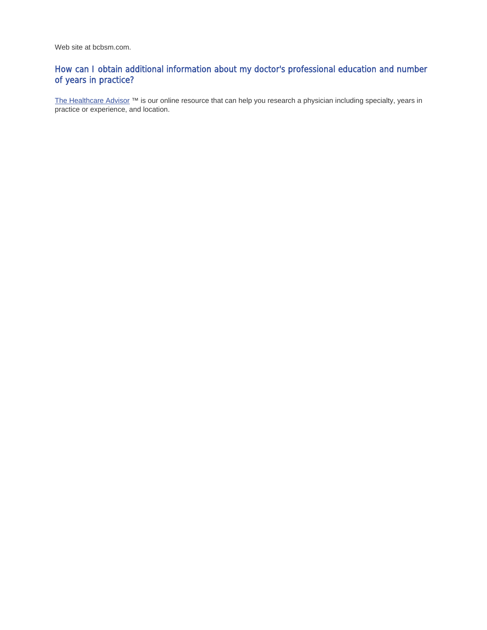Web site at bcbsm.com.

# How can I obtain additional information about my doctor's professional education and number of years in practice?

The Healthcare Advisor ™ is our online resource that can help you research a physician including specialty, years in practice or experience, and location.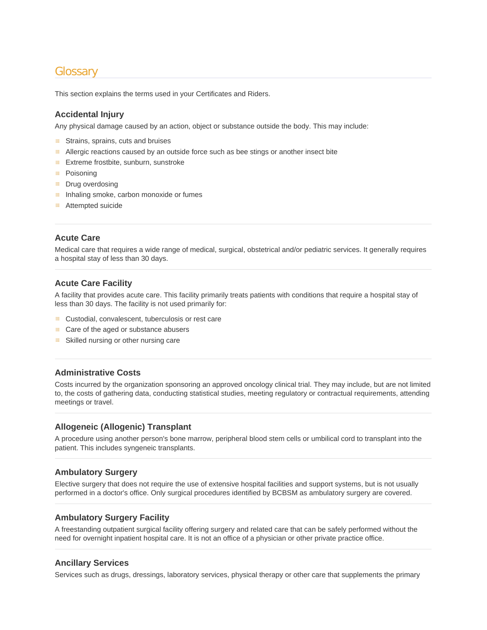# **Glossary**

This section explains the terms used in your Certificates and Riders.

# **Accidental Injury**

Any physical damage caused by an action, object or substance outside the body. This may include:

- **EXECUTE:** Strains, sprains, cuts and bruises
- **Allergic reactions caused by an outside force such as bee stings or another insect bite**
- **Extreme frostbite, sunburn, sunstroke**
- 田 Poisoning
- Ш Drug overdosing
- 田 Inhaling smoke, carbon monoxide or fumes
- **E** Attempted suicide

#### **Acute Care**

Medical care that requires a wide range of medical, surgical, obstetrical and/or pediatric services. It generally requires a hospital stay of less than 30 days.

#### **Acute Care Facility**

A facility that provides acute care. This facility primarily treats patients with conditions that require a hospital stay of less than 30 days. The facility is not used primarily for:

- **E** Custodial, convalescent, tuberculosis or rest care
- Care of the aged or substance abusers
- **BED** Skilled nursing or other nursing care

## **Administrative Costs**

Costs incurred by the organization sponsoring an approved oncology clinical trial. They may include, but are not limited to, the costs of gathering data, conducting statistical studies, meeting regulatory or contractual requirements, attending meetings or travel.

#### **Allogeneic (Allogenic) Transplant**

A procedure using another person's bone marrow, peripheral blood stem cells or umbilical cord to transplant into the patient. This includes syngeneic transplants.

#### **Ambulatory Surgery**

Elective surgery that does not require the use of extensive hospital facilities and support systems, but is not usually performed in a doctor's office. Only surgical procedures identified by BCBSM as ambulatory surgery are covered.

#### **Ambulatory Surgery Facility**

A freestanding outpatient surgical facility offering surgery and related care that can be safely performed without the need for overnight inpatient hospital care. It is not an office of a physician or other private practice office.

#### **Ancillary Services**

Services such as drugs, dressings, laboratory services, physical therapy or other care that supplements the primary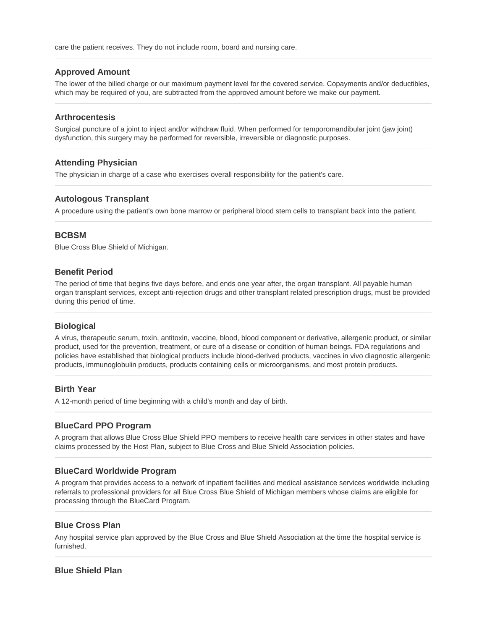care the patient receives. They do not include room, board and nursing care.

## **Approved Amount**

The lower of the billed charge or our maximum payment level for the covered service. Copayments and/or deductibles, which may be required of you, are subtracted from the approved amount before we make our payment.

#### **Arthrocentesis**

Surgical puncture of a joint to inject and/or withdraw fluid. When performed for temporomandibular joint (jaw joint) dysfunction, this surgery may be performed for reversible, irreversible or diagnostic purposes.

#### **Attending Physician**

The physician in charge of a case who exercises overall responsibility for the patient's care.

#### **Autologous Transplant**

A procedure using the patient's own bone marrow or peripheral blood stem cells to transplant back into the patient.

#### **BCBSM**

Blue Cross Blue Shield of Michigan.

#### **Benefit Period**

The period of time that begins five days before, and ends one year after, the organ transplant. All payable human organ transplant services, except anti-rejection drugs and other transplant related prescription drugs, must be provided during this period of time.

#### **Biological**

A virus, therapeutic serum, toxin, antitoxin, vaccine, blood, blood component or derivative, allergenic product, or similar product, used for the prevention, treatment, or cure of a disease or condition of human beings. FDA regulations and policies have established that biological products include blood-derived products, vaccines in vivo diagnostic allergenic products, immunoglobulin products, products containing cells or microorganisms, and most protein products.

#### **Birth Year**

A 12-month period of time beginning with a child's month and day of birth.

#### **BlueCard PPO Program**

A program that allows Blue Cross Blue Shield PPO members to receive health care services in other states and have claims processed by the Host Plan, subject to Blue Cross and Blue Shield Association policies.

#### **BlueCard Worldwide Program**

A program that provides access to a network of inpatient facilities and medical assistance services worldwide including referrals to professional providers for all Blue Cross Blue Shield of Michigan members whose claims are eligible for processing through the BlueCard Program.

#### **Blue Cross Plan**

Any hospital service plan approved by the Blue Cross and Blue Shield Association at the time the hospital service is furnished.

#### **Blue Shield Plan**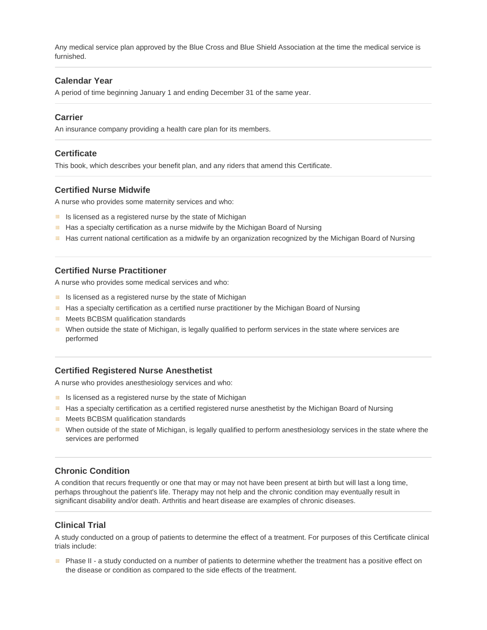Any medical service plan approved by the Blue Cross and Blue Shield Association at the time the medical service is furnished.

#### **Calendar Year**

A period of time beginning January 1 and ending December 31 of the same year.

#### **Carrier**

An insurance company providing a health care plan for its members.

#### **Certificate**

This book, which describes your benefit plan, and any riders that amend this Certificate.

## **Certified Nurse Midwife**

A nurse who provides some maternity services and who:

- $\equiv$  Is licensed as a registered nurse by the state of Michigan
- **Has a specialty certification as a nurse midwife by the Michigan Board of Nursing**
- Has current national certification as a midwife by an organization recognized by the Michigan Board of Nursing

#### **Certified Nurse Practitioner**

A nurse who provides some medical services and who:

- $\equiv$  Is licensed as a registered nurse by the state of Michigan
- **Has a specialty certification as a certified nurse practitioner by the Michigan Board of Nursing**
- **E** Meets BCBSM qualification standards
- When outside the state of Michigan, is legally qualified to perform services in the state where services are performed

#### **Certified Registered Nurse Anesthetist**

A nurse who provides anesthesiology services and who:

- $\equiv$  Is licensed as a registered nurse by the state of Michigan
- **Has a specialty certification as a certified registered nurse anesthetist by the Michigan Board of Nursing**
- **E** Meets BCBSM qualification standards
- When outside of the state of Michigan, is legally qualified to perform anesthesiology services in the state where the services are performed

#### **Chronic Condition**

A condition that recurs frequently or one that may or may not have been present at birth but will last a long time, perhaps throughout the patient's life. Therapy may not help and the chronic condition may eventually result in significant disability and/or death. Arthritis and heart disease are examples of chronic diseases.

#### **Clinical Trial**

A study conducted on a group of patients to determine the effect of a treatment. For purposes of this Certificate clinical trials include:

**EXECUTE:** Phase II - a study conducted on a number of patients to determine whether the treatment has a positive effect on the disease or condition as compared to the side effects of the treatment.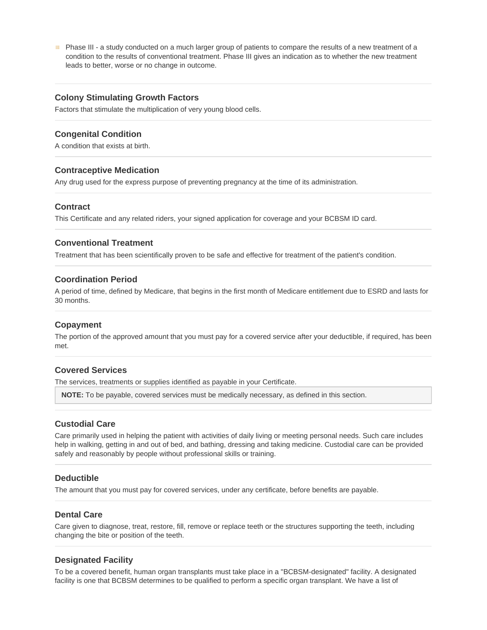**EXECUTE:** Phase III - a study conducted on a much larger group of patients to compare the results of a new treatment of a condition to the results of conventional treatment. Phase III gives an indication as to whether the new treatment leads to better, worse or no change in outcome.

#### **Colony Stimulating Growth Factors**

Factors that stimulate the multiplication of very young blood cells.

#### **Congenital Condition**

A condition that exists at birth.

#### **Contraceptive Medication**

Any drug used for the express purpose of preventing pregnancy at the time of its administration.

#### **Contract**

This Certificate and any related riders, your signed application for coverage and your BCBSM ID card.

### **Conventional Treatment**

Treatment that has been scientifically proven to be safe and effective for treatment of the patient's condition.

#### **Coordination Period**

A period of time, defined by Medicare, that begins in the first month of Medicare entitlement due to ESRD and lasts for 30 months.

#### **Copayment**

The portion of the approved amount that you must pay for a covered service after your deductible, if required, has been met.

#### **Covered Services**

The services, treatments or supplies identified as payable in your Certificate.

**NOTE:** To be payable, covered services must be medically necessary, as defined in this section.

#### **Custodial Care**

Care primarily used in helping the patient with activities of daily living or meeting personal needs. Such care includes help in walking, getting in and out of bed, and bathing, dressing and taking medicine. Custodial care can be provided safely and reasonably by people without professional skills or training.

#### **Deductible**

The amount that you must pay for covered services, under any certificate, before benefits are payable.

#### **Dental Care**

Care given to diagnose, treat, restore, fill, remove or replace teeth or the structures supporting the teeth, including changing the bite or position of the teeth.

#### **Designated Facility**

To be a covered benefit, human organ transplants must take place in a "BCBSM-designated" facility. A designated facility is one that BCBSM determines to be qualified to perform a specific organ transplant. We have a list of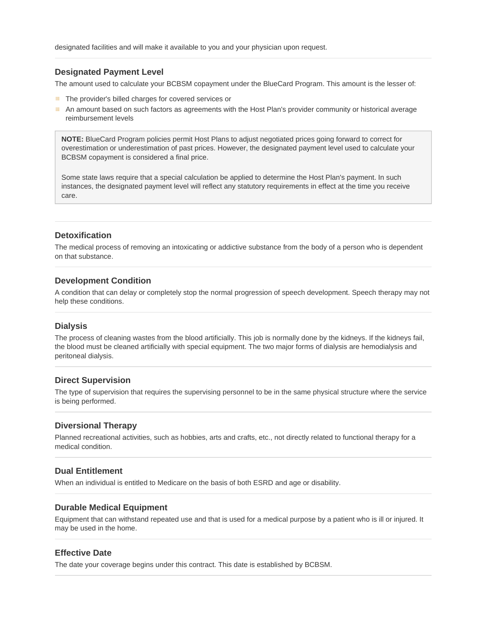#### **Designated Payment Level**

The amount used to calculate your BCBSM copayment under the BlueCard Program. This amount is the lesser of:

- The provider's billed charges for covered services or
- An amount based on such factors as agreements with the Host Plan's provider community or historical average reimbursement levels

**NOTE:** BlueCard Program policies permit Host Plans to adjust negotiated prices going forward to correct for overestimation or underestimation of past prices. However, the designated payment level used to calculate your BCBSM copayment is considered a final price.

Some state laws require that a special calculation be applied to determine the Host Plan's payment. In such instances, the designated payment level will reflect any statutory requirements in effect at the time you receive care.

#### **Detoxification**

The medical process of removing an intoxicating or addictive substance from the body of a person who is dependent on that substance.

#### **Development Condition**

A condition that can delay or completely stop the normal progression of speech development. Speech therapy may not help these conditions.

#### **Dialysis**

The process of cleaning wastes from the blood artificially. This job is normally done by the kidneys. If the kidneys fail, the blood must be cleaned artificially with special equipment. The two major forms of dialysis are hemodialysis and peritoneal dialysis.

#### **Direct Supervision**

The type of supervision that requires the supervising personnel to be in the same physical structure where the service is being performed.

#### **Diversional Therapy**

Planned recreational activities, such as hobbies, arts and crafts, etc., not directly related to functional therapy for a medical condition.

#### **Dual Entitlement**

When an individual is entitled to Medicare on the basis of both ESRD and age or disability.

#### **Durable Medical Equipment**

Equipment that can withstand repeated use and that is used for a medical purpose by a patient who is ill or injured. It may be used in the home.

#### **Effective Date**

The date your coverage begins under this contract. This date is established by BCBSM.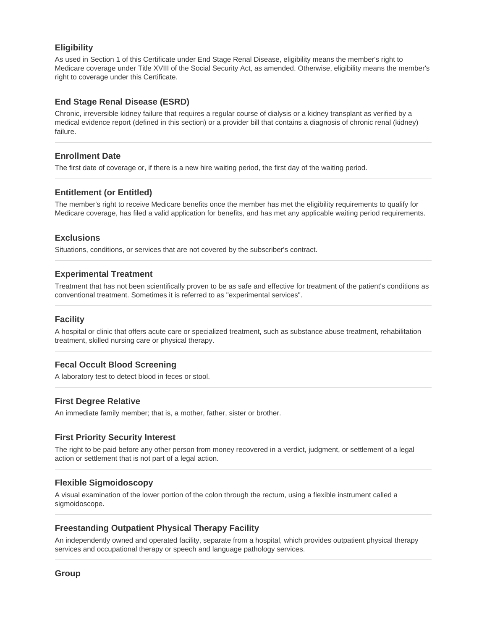## **Eligibility**

As used in Section 1 of this Certificate under End Stage Renal Disease, eligibility means the member's right to Medicare coverage under Title XVIII of the Social Security Act, as amended. Otherwise, eligibility means the member's right to coverage under this Certificate.

#### **End Stage Renal Disease (ESRD)**

Chronic, irreversible kidney failure that requires a regular course of dialysis or a kidney transplant as verified by a medical evidence report (defined in this section) or a provider bill that contains a diagnosis of chronic renal (kidney) failure.

#### **Enrollment Date**

The first date of coverage or, if there is a new hire waiting period, the first day of the waiting period.

# **Entitlement (or Entitled)**

The member's right to receive Medicare benefits once the member has met the eligibility requirements to qualify for Medicare coverage, has filed a valid application for benefits, and has met any applicable waiting period requirements.

#### **Exclusions**

Situations, conditions, or services that are not covered by the subscriber's contract.

#### **Experimental Treatment**

Treatment that has not been scientifically proven to be as safe and effective for treatment of the patient's conditions as conventional treatment. Sometimes it is referred to as "experimental services".

#### **Facility**

A hospital or clinic that offers acute care or specialized treatment, such as substance abuse treatment, rehabilitation treatment, skilled nursing care or physical therapy.

#### **Fecal Occult Blood Screening**

A laboratory test to detect blood in feces or stool.

#### **First Degree Relative**

An immediate family member; that is, a mother, father, sister or brother.

#### **First Priority Security Interest**

The right to be paid before any other person from money recovered in a verdict, judgment, or settlement of a legal action or settlement that is not part of a legal action.

#### **Flexible Sigmoidoscopy**

A visual examination of the lower portion of the colon through the rectum, using a flexible instrument called a sigmoidoscope.

#### **Freestanding Outpatient Physical Therapy Facility**

An independently owned and operated facility, separate from a hospital, which provides outpatient physical therapy services and occupational therapy or speech and language pathology services.

**Group**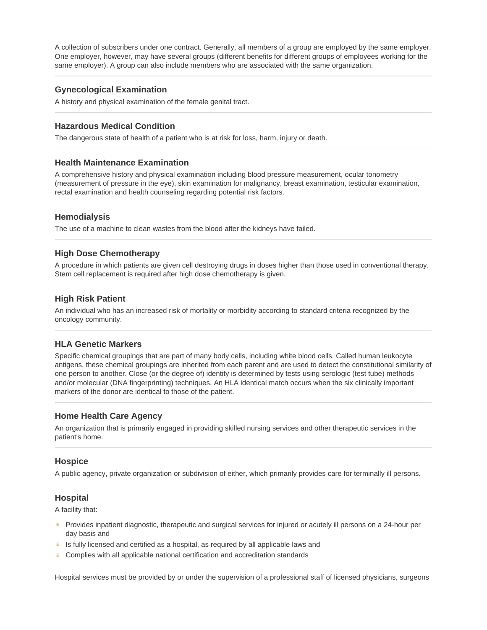A collection of subscribers under one contract. Generally, all members of a group are employed by the same employer. One employer, however, may have several groups (different benefits for different groups of employees working for the same employer). A group can also include members who are associated with the same organization.

## **Gynecological Examination**

A history and physical examination of the female genital tract.

#### **Hazardous Medical Condition**

The dangerous state of health of a patient who is at risk for loss, harm, injury or death.

#### **Health Maintenance Examination**

A comprehensive history and physical examination including blood pressure measurement, ocular tonometry (measurement of pressure in the eye), skin examination for malignancy, breast examination, testicular examination, rectal examination and health counseling regarding potential risk factors.

#### **Hemodialysis**

The use of a machine to clean wastes from the blood after the kidneys have failed.

#### **High Dose Chemotherapy**

A procedure in which patients are given cell destroying drugs in doses higher than those used in conventional therapy. Stem cell replacement is required after high dose chemotherapy is given.

#### **High Risk Patient**

An individual who has an increased risk of mortality or morbidity according to standard criteria recognized by the oncology community.

#### **HLA Genetic Markers**

Specific chemical groupings that are part of many body cells, including white blood cells. Called human leukocyte antigens, these chemical groupings are inherited from each parent and are used to detect the constitutional similarity of one person to another. Close (or the degree of) identity is determined by tests using serologic (test tube) methods and/or molecular (DNA fingerprinting) techniques. An HLA identical match occurs when the six clinically important markers of the donor are identical to those of the patient.

#### **Home Health Care Agency**

An organization that is primarily engaged in providing skilled nursing services and other therapeutic services in the patient's home.

#### **Hospice**

A public agency, private organization or subdivision of either, which primarily provides care for terminally ill persons.

#### **Hospital**

A facility that:

- **EXECT** Provides inpatient diagnostic, therapeutic and surgical services for injured or acutely ill persons on a 24-hour per day basis and
- Is fully licensed and certified as a hospital, as required by all applicable laws and
- **E** Complies with all applicable national certification and accreditation standards

Hospital services must be provided by or under the supervision of a professional staff of licensed physicians, surgeons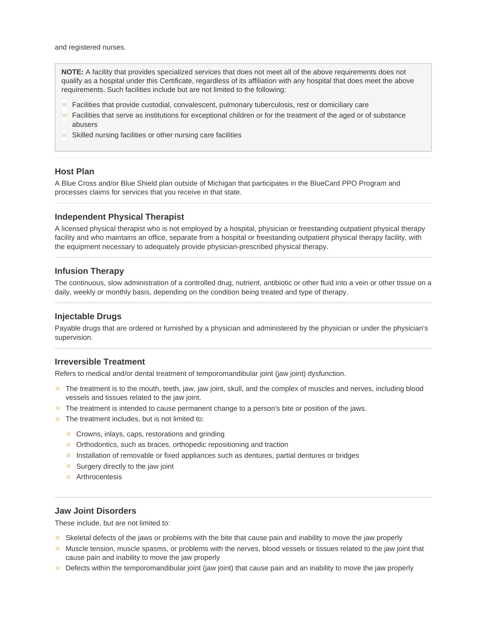and registered nurses.

**NOTE:** A facility that provides specialized services that does not meet all of the above requirements does not qualify as a hospital under this Certificate, regardless of its affiliation with any hospital that does meet the above requirements. Such facilities include but are not limited to the following:

- **Facilities that provide custodial, convalescent, pulmonary tuberculosis, rest or domiciliary care**
- **Facilities that serve as institutions for exceptional children or for the treatment of the aged or of substance** abusers
- 曲。 Skilled nursing facilities or other nursing care facilities

#### **Host Plan**

A Blue Cross and/or Blue Shield plan outside of Michigan that participates in the BlueCard PPO Program and processes claims for services that you receive in that state.

#### **Independent Physical Therapist**

A licensed physical therapist who is not employed by a hospital, physician or freestanding outpatient physical therapy facility and who maintains an office, separate from a hospital or freestanding outpatient physical therapy facility, with the equipment necessary to adequately provide physician-prescribed physical therapy.

#### **Infusion Therapy**

The continuous, slow administration of a controlled drug, nutrient, antibiotic or other fluid into a vein or other tissue on a daily, weekly or monthly basis, depending on the condition being treated and type of therapy.

#### **Injectable Drugs**

Payable drugs that are ordered or furnished by a physician and administered by the physician or under the physician's supervision.

#### **Irreversible Treatment**

Refers to medical and/or dental treatment of temporomandibular joint (jaw joint) dysfunction.

- The treatment is to the mouth, teeth, jaw, jaw joint, skull, and the complex of muscles and nerves, including blood vessels and tissues related to the jaw joint.
- The treatment is intended to cause permanent change to a person's bite or position of the jaws.
- **F** The treatment includes, but is not limited to:
	- $\equiv$  Crowns, inlays, caps, restorations and grinding
	- Orthodontics, such as braces, orthopedic repositioning and traction
	- **Installation of removable or fixed appliances such as dentures, partial dentures or bridges**
	- $\equiv$  Surgery directly to the jaw joint
	- **E** Arthrocentesis

## **Jaw Joint Disorders**

These include, but are not limited to:

- Skeletal defects of the jaws or problems with the bite that cause pain and inability to move the jaw properly
- **Muscle tension, muscle spasms, or problems with the nerves, blood vessels or tissues related to the jaw joint that** cause pain and inability to move the jaw properly
- Defects within the temporomandibular joint (jaw joint) that cause pain and an inability to move the jaw properly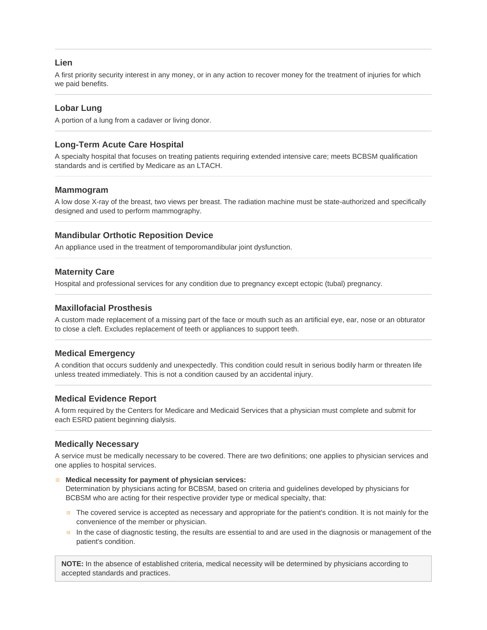#### **Lien**

A first priority security interest in any money, or in any action to recover money for the treatment of injuries for which we paid benefits.

# **Lobar Lung**

A portion of a lung from a cadaver or living donor.

# **Long-Term Acute Care Hospital**

A specialty hospital that focuses on treating patients requiring extended intensive care; meets BCBSM qualification standards and is certified by Medicare as an LTACH.

#### **Mammogram**

A low dose X-ray of the breast, two views per breast. The radiation machine must be state-authorized and specifically designed and used to perform mammography.

#### **Mandibular Orthotic Reposition Device**

An appliance used in the treatment of temporomandibular joint dysfunction.

#### **Maternity Care**

Hospital and professional services for any condition due to pregnancy except ectopic (tubal) pregnancy.

#### **Maxillofacial Prosthesis**

A custom made replacement of a missing part of the face or mouth such as an artificial eye, ear, nose or an obturator to close a cleft. Excludes replacement of teeth or appliances to support teeth.

# **Medical Emergency**

A condition that occurs suddenly and unexpectedly. This condition could result in serious bodily harm or threaten life unless treated immediately. This is not a condition caused by an accidental injury.

#### **Medical Evidence Report**

A form required by the Centers for Medicare and Medicaid Services that a physician must complete and submit for each ESRD patient beginning dialysis.

#### **Medically Necessary**

A service must be medically necessary to be covered. There are two definitions; one applies to physician services and one applies to hospital services.

#### **Medical necessity for payment of physician services:**

Determination by physicians acting for BCBSM, based on criteria and guidelines developed by physicians for BCBSM who are acting for their respective provider type or medical specialty, that:

- The covered service is accepted as necessary and appropriate for the patient's condition. It is not mainly for the convenience of the member or physician.
- In the case of diagnostic testing, the results are essential to and are used in the diagnosis or management of the patient's condition.

**NOTE:** In the absence of established criteria, medical necessity will be determined by physicians according to accepted standards and practices.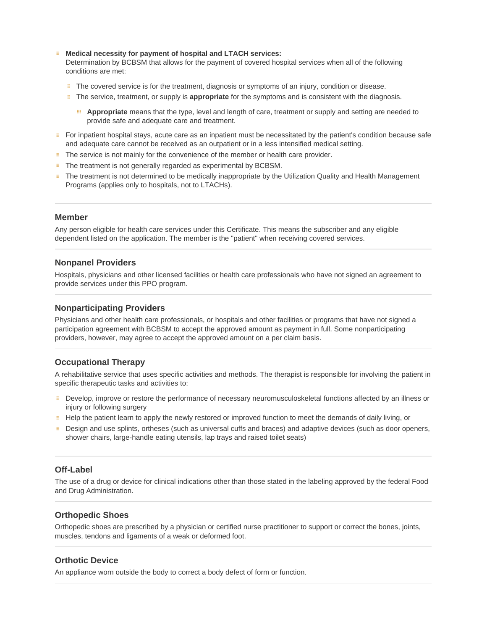#### **Medical necessity for payment of hospital and LTACH services:**

Determination by BCBSM that allows for the payment of covered hospital services when all of the following conditions are met:

- **EXECT** The covered service is for the treatment, diagnosis or symptoms of an injury, condition or disease.
- The service, treatment, or supply is **appropriate** for the symptoms and is consistent with the diagnosis.
	- **Appropriate** means that the type, level and length of care, treatment or supply and setting are needed to provide safe and adequate care and treatment.
- For inpatient hospital stays, acute care as an inpatient must be necessitated by the patient's condition because safe and adequate care cannot be received as an outpatient or in a less intensified medical setting.
- **The service is not mainly for the convenience of the member or health care provider.**
- **Fig.** The treatment is not generally regarded as experimental by BCBSM.
- **EXECT** The treatment is not determined to be medically inappropriate by the Utilization Quality and Health Management Programs (applies only to hospitals, not to LTACHs).

#### **Member**

Any person eligible for health care services under this Certificate. This means the subscriber and any eligible dependent listed on the application. The member is the "patient" when receiving covered services.

#### **Nonpanel Providers**

Hospitals, physicians and other licensed facilities or health care professionals who have not signed an agreement to provide services under this PPO program.

#### **Nonparticipating Providers**

Physicians and other health care professionals, or hospitals and other facilities or programs that have not signed a participation agreement with BCBSM to accept the approved amount as payment in full. Some nonparticipating providers, however, may agree to accept the approved amount on a per claim basis.

## **Occupational Therapy**

A rehabilitative service that uses specific activities and methods. The therapist is responsible for involving the patient in specific therapeutic tasks and activities to:

- Develop, improve or restore the performance of necessary neuromusculoskeletal functions affected by an illness or injury or following surgery
- Help the patient learn to apply the newly restored or improved function to meet the demands of daily living, or
- **EDES** Design and use splints, ortheses (such as universal cuffs and braces) and adaptive devices (such as door openers, shower chairs, large-handle eating utensils, lap trays and raised toilet seats)

#### **Off-Label**

The use of a drug or device for clinical indications other than those stated in the labeling approved by the federal Food and Drug Administration.

#### **Orthopedic Shoes**

Orthopedic shoes are prescribed by a physician or certified nurse practitioner to support or correct the bones, joints, muscles, tendons and ligaments of a weak or deformed foot.

#### **Orthotic Device**

An appliance worn outside the body to correct a body defect of form or function.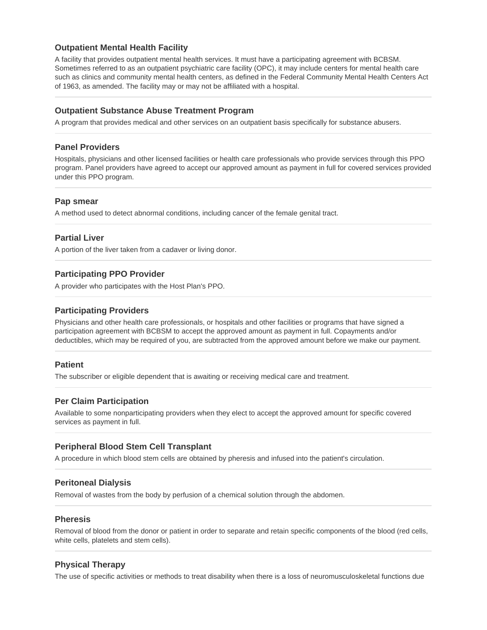# **Outpatient Mental Health Facility**

A facility that provides outpatient mental health services. It must have a participating agreement with BCBSM. Sometimes referred to as an outpatient psychiatric care facility (OPC), it may include centers for mental health care such as clinics and community mental health centers, as defined in the Federal Community Mental Health Centers Act of 1963, as amended. The facility may or may not be affiliated with a hospital.

#### **Outpatient Substance Abuse Treatment Program**

A program that provides medical and other services on an outpatient basis specifically for substance abusers.

#### **Panel Providers**

Hospitals, physicians and other licensed facilities or health care professionals who provide services through this PPO program. Panel providers have agreed to accept our approved amount as payment in full for covered services provided under this PPO program.

#### **Pap smear**

A method used to detect abnormal conditions, including cancer of the female genital tract.

#### **Partial Liver**

A portion of the liver taken from a cadaver or living donor.

#### **Participating PPO Provider**

A provider who participates with the Host Plan's PPO.

#### **Participating Providers**

Physicians and other health care professionals, or hospitals and other facilities or programs that have signed a participation agreement with BCBSM to accept the approved amount as payment in full. Copayments and/or deductibles, which may be required of you, are subtracted from the approved amount before we make our payment.

#### **Patient**

The subscriber or eligible dependent that is awaiting or receiving medical care and treatment.

#### **Per Claim Participation**

Available to some nonparticipating providers when they elect to accept the approved amount for specific covered services as payment in full.

#### **Peripheral Blood Stem Cell Transplant**

A procedure in which blood stem cells are obtained by pheresis and infused into the patient's circulation.

#### **Peritoneal Dialysis**

Removal of wastes from the body by perfusion of a chemical solution through the abdomen.

#### **Pheresis**

Removal of blood from the donor or patient in order to separate and retain specific components of the blood (red cells, white cells, platelets and stem cells).

#### **Physical Therapy**

The use of specific activities or methods to treat disability when there is a loss of neuromusculoskeletal functions due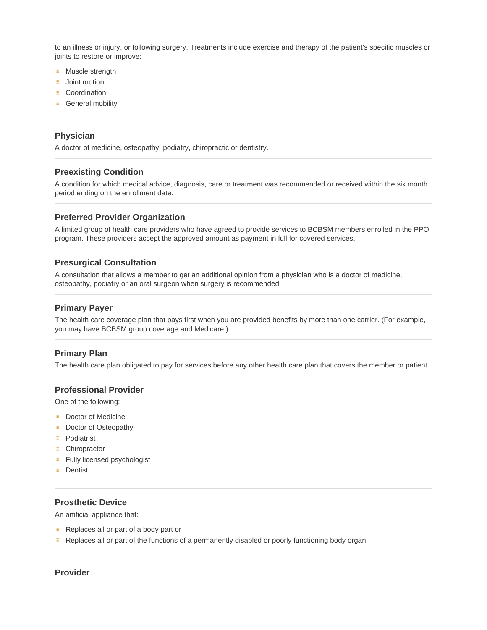to an illness or injury, or following surgery. Treatments include exercise and therapy of the patient's specific muscles or joints to restore or improve:

- **Muscle strength**
- **Joint motion**
- **E** Coordination
- **General mobility**

#### **Physician**

A doctor of medicine, osteopathy, podiatry, chiropractic or dentistry.

#### **Preexisting Condition**

A condition for which medical advice, diagnosis, care or treatment was recommended or received within the six month period ending on the enrollment date.

#### **Preferred Provider Organization**

A limited group of health care providers who have agreed to provide services to BCBSM members enrolled in the PPO program. These providers accept the approved amount as payment in full for covered services.

#### **Presurgical Consultation**

A consultation that allows a member to get an additional opinion from a physician who is a doctor of medicine, osteopathy, podiatry or an oral surgeon when surgery is recommended.

#### **Primary Payer**

The health care coverage plan that pays first when you are provided benefits by more than one carrier. (For example, you may have BCBSM group coverage and Medicare.)

#### **Primary Plan**

The health care plan obligated to pay for services before any other health care plan that covers the member or patient.

#### **Professional Provider**

One of the following:

- **B** Doctor of Medicine
- **Doctor of Osteopathy**
- Podiatrist
- Chiropractor
- **Fully licensed psychologist**
- **E** Dentist

## **Prosthetic Device**

An artificial appliance that:

- Replaces all or part of a body part or
- **Replaces all or part of the functions of a permanently disabled or poorly functioning body organ**

#### **Provider**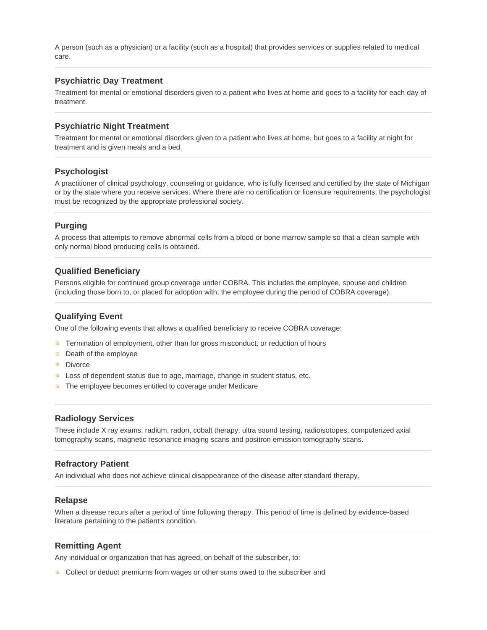A person (such as a physician) or a facility (such as a hospital) that provides services or supplies related to medical care.

#### **Psychiatric Day Treatment**

Treatment for mental or emotional disorders given to a patient who lives at home and goes to a facility for each day of treatment.

#### **Psychiatric Night Treatment**

Treatment for mental or emotional disorders given to a patient who lives at home, but goes to a facility at night for treatment and is given meals and a bed.

#### **Psychologist**

A practitioner of clinical psychology, counseling or guidance, who is fully licensed and certified by the state of Michigan or by the state where you receive services. Where there are no certification or licensure requirements, the psychologist must be recognized by the appropriate professional society.

#### **Purging**

A process that attempts to remove abnormal cells from a blood or bone marrow sample so that a clean sample with only normal blood producing cells is obtained.

#### **Qualified Beneficiary**

Persons eligible for continued group coverage under COBRA. This includes the employee, spouse and children (including those born to, or placed for adoption with, the employee during the period of COBRA coverage).

#### **Qualifying Event**

One of the following events that allows a qualified beneficiary to receive COBRA coverage:

- **EXECTE TERM** Termination of employment, other than for gross misconduct, or reduction of hours
- **EDEATE:** Death of the employee
- **E** Divorce
- $\mathbb{H}^+$ Loss of dependent status due to age, marriage, change in student status, etc.
- The employee becomes entitled to coverage under Medicare 田.

#### **Radiology Services**

These include X ray exams, radium, radon, cobalt therapy, ultra sound testing, radioisotopes, computerized axial tomography scans, magnetic resonance imaging scans and positron emission tomography scans.

#### **Refractory Patient**

An individual who does not achieve clinical disappearance of the disease after standard therapy.

#### **Relapse**

When a disease recurs after a period of time following therapy. This period of time is defined by evidence-based literature pertaining to the patient's condition.

#### **Remitting Agent**

Any individual or organization that has agreed, on behalf of the subscriber, to:

**EXECOLLECT OF COLLECT OF COLLECT A** COLLECT COLLECT And **EXECUTE:** COLLECT And **EXECUTE:** COLLECT And COLLECT And COLLECT And COLLECT And COLLECT And COLLECT A COLLECT A COLLECT AND COLLECT AND COLLECT A COLLECT A COLLECT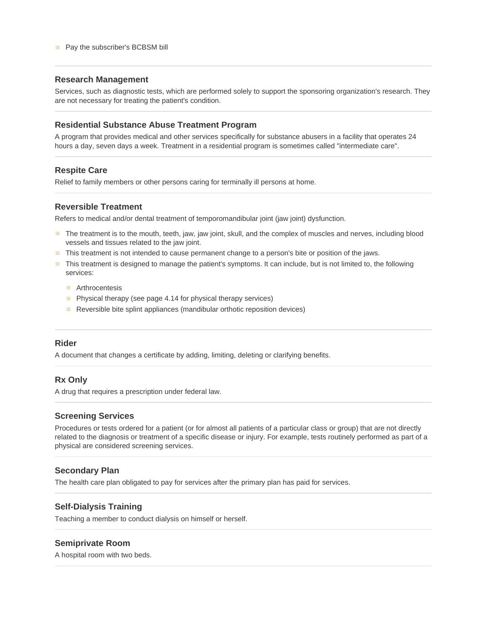#### **Pay the subscriber's BCBSM bill**

#### **Research Management**

Services, such as diagnostic tests, which are performed solely to support the sponsoring organization's research. They are not necessary for treating the patient's condition.

#### **Residential Substance Abuse Treatment Program**

A program that provides medical and other services specifically for substance abusers in a facility that operates 24 hours a day, seven days a week. Treatment in a residential program is sometimes called "intermediate care".

#### **Respite Care**

Relief to family members or other persons caring for terminally ill persons at home.

## **Reversible Treatment**

Refers to medical and/or dental treatment of temporomandibular joint (jaw joint) dysfunction.

- **EXECT THE THE THE THE THE THE MOUTH** The treatment is to the mouth, teeth, jaw joint, skull, and the complex of muscles and nerves, including blood vessels and tissues related to the jaw joint.
- This treatment is not intended to cause permanent change to a person's bite or position of the jaws.
- This treatment is designed to manage the patient's symptoms. It can include, but is not limited to, the following services:
	- **E** Arthrocentesis
	- **E** Physical therapy (see page 4.14 for physical therapy services)
	- Reversible bite splint appliances (mandibular orthotic reposition devices)

#### **Rider**

A document that changes a certificate by adding, limiting, deleting or clarifying benefits.

#### **Rx Only**

A drug that requires a prescription under federal law.

#### **Screening Services**

Procedures or tests ordered for a patient (or for almost all patients of a particular class or group) that are not directly related to the diagnosis or treatment of a specific disease or injury. For example, tests routinely performed as part of a physical are considered screening services.

#### **Secondary Plan**

The health care plan obligated to pay for services after the primary plan has paid for services.

# **Self-Dialysis Training**

Teaching a member to conduct dialysis on himself or herself.

#### **Semiprivate Room**

A hospital room with two beds.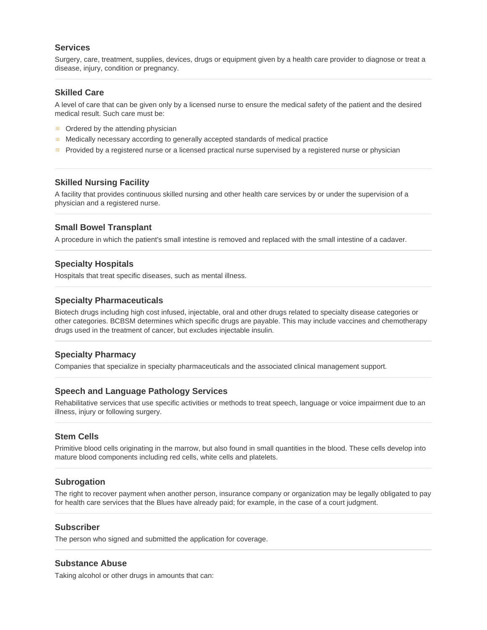#### **Services**

Surgery, care, treatment, supplies, devices, drugs or equipment given by a health care provider to diagnose or treat a disease, injury, condition or pregnancy.

#### **Skilled Care**

A level of care that can be given only by a licensed nurse to ensure the medical safety of the patient and the desired medical result. Such care must be:

- **E** Ordered by the attending physician
- **EDED Medically necessary according to generally accepted standards of medical practice**
- Provided by a registered nurse or a licensed practical nurse supervised by a registered nurse or physician 田.

#### **Skilled Nursing Facility**

A facility that provides continuous skilled nursing and other health care services by or under the supervision of a physician and a registered nurse.

#### **Small Bowel Transplant**

A procedure in which the patient's small intestine is removed and replaced with the small intestine of a cadaver.

#### **Specialty Hospitals**

Hospitals that treat specific diseases, such as mental illness.

#### **Specialty Pharmaceuticals**

Biotech drugs including high cost infused, injectable, oral and other drugs related to specialty disease categories or other categories. BCBSM determines which specific drugs are payable. This may include vaccines and chemotherapy drugs used in the treatment of cancer, but excludes injectable insulin.

#### **Specialty Pharmacy**

Companies that specialize in specialty pharmaceuticals and the associated clinical management support.

#### **Speech and Language Pathology Services**

Rehabilitative services that use specific activities or methods to treat speech, language or voice impairment due to an illness, injury or following surgery.

#### **Stem Cells**

Primitive blood cells originating in the marrow, but also found in small quantities in the blood. These cells develop into mature blood components including red cells, white cells and platelets.

#### **Subrogation**

The right to recover payment when another person, insurance company or organization may be legally obligated to pay for health care services that the Blues have already paid; for example, in the case of a court judgment.

#### **Subscriber**

The person who signed and submitted the application for coverage.

#### **Substance Abuse**

Taking alcohol or other drugs in amounts that can: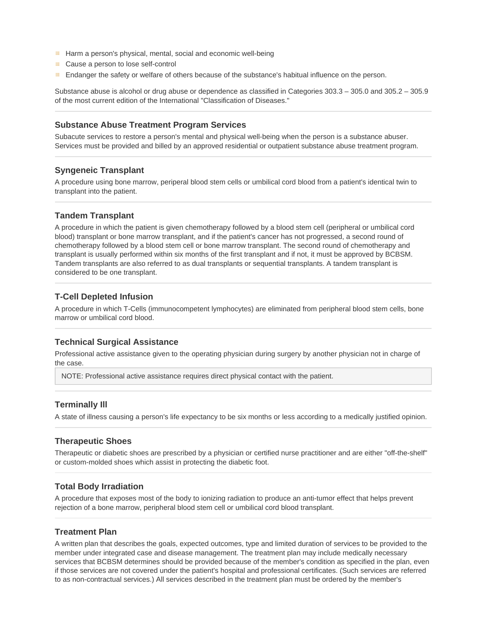- **Harm a person's physical, mental, social and economic well-being**
- Cause a person to lose self-control
- **EXECT** Endanger the safety or welfare of others because of the substance's habitual influence on the person.

Substance abuse is alcohol or drug abuse or dependence as classified in Categories 303.3 – 305.0 and 305.2 – 305.9 of the most current edition of the International "Classification of Diseases."

#### **Substance Abuse Treatment Program Services**

Subacute services to restore a person's mental and physical well-being when the person is a substance abuser. Services must be provided and billed by an approved residential or outpatient substance abuse treatment program.

#### **Syngeneic Transplant**

A procedure using bone marrow, periperal blood stem cells or umbilical cord blood from a patient's identical twin to transplant into the patient.

#### **Tandem Transplant**

A procedure in which the patient is given chemotherapy followed by a blood stem cell (peripheral or umbilical cord blood) transplant or bone marrow transplant, and if the patient's cancer has not progressed, a second round of chemotherapy followed by a blood stem cell or bone marrow transplant. The second round of chemotherapy and transplant is usually performed within six months of the first transplant and if not, it must be approved by BCBSM. Tandem transplants are also referred to as dual transplants or sequential transplants. A tandem transplant is considered to be one transplant.

#### **T-Cell Depleted Infusion**

A procedure in which T-Cells (immunocompetent lymphocytes) are eliminated from peripheral blood stem cells, bone marrow or umbilical cord blood.

#### **Technical Surgical Assistance**

Professional active assistance given to the operating physician during surgery by another physician not in charge of the case.

NOTE: Professional active assistance requires direct physical contact with the patient.

#### **Terminally Ill**

A state of illness causing a person's life expectancy to be six months or less according to a medically justified opinion.

#### **Therapeutic Shoes**

Therapeutic or diabetic shoes are prescribed by a physician or certified nurse practitioner and are either "off-the-shelf" or custom-molded shoes which assist in protecting the diabetic foot.

#### **Total Body Irradiation**

A procedure that exposes most of the body to ionizing radiation to produce an anti-tumor effect that helps prevent rejection of a bone marrow, peripheral blood stem cell or umbilical cord blood transplant.

#### **Treatment Plan**

A written plan that describes the goals, expected outcomes, type and limited duration of services to be provided to the member under integrated case and disease management. The treatment plan may include medically necessary services that BCBSM determines should be provided because of the member's condition as specified in the plan, even if those services are not covered under the patient's hospital and professional certificates. (Such services are referred to as non-contractual services.) All services described in the treatment plan must be ordered by the member's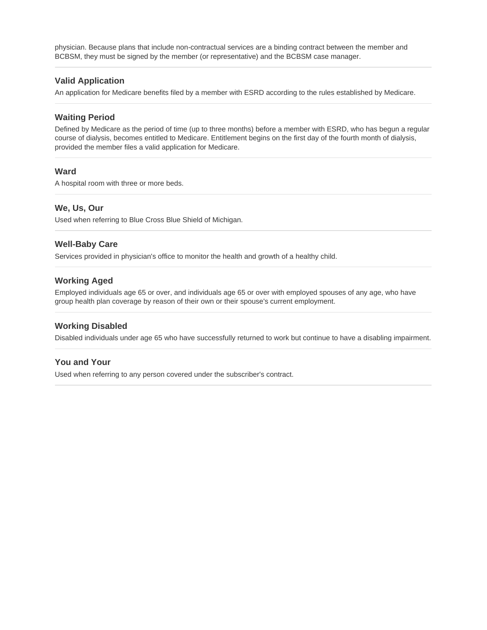physician. Because plans that include non-contractual services are a binding contract between the member and BCBSM, they must be signed by the member (or representative) and the BCBSM case manager.

# **Valid Application**

An application for Medicare benefits filed by a member with ESRD according to the rules established by Medicare.

#### **Waiting Period**

Defined by Medicare as the period of time (up to three months) before a member with ESRD, who has begun a regular course of dialysis, becomes entitled to Medicare. Entitlement begins on the first day of the fourth month of dialysis, provided the member files a valid application for Medicare.

#### **Ward**

A hospital room with three or more beds.

#### **We, Us, Our**

Used when referring to Blue Cross Blue Shield of Michigan.

#### **Well-Baby Care**

Services provided in physician's office to monitor the health and growth of a healthy child.

#### **Working Aged**

Employed individuals age 65 or over, and individuals age 65 or over with employed spouses of any age, who have group health plan coverage by reason of their own or their spouse's current employment.

#### **Working Disabled**

Disabled individuals under age 65 who have successfully returned to work but continue to have a disabling impairment.

## **You and Your**

Used when referring to any person covered under the subscriber's contract.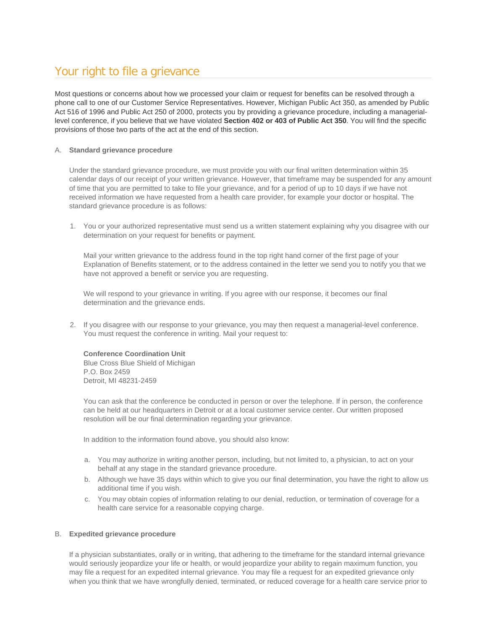# Your right to file a grievance

Most questions or concerns about how we processed your claim or request for benefits can be resolved through a phone call to one of our Customer Service Representatives. However, Michigan Public Act 350, as amended by Public Act 516 of 1996 and Public Act 250 of 2000, protects you by providing a grievance procedure, including a manageriallevel conference, if you believe that we have violated **Section 402 or 403 of Public Act 350**. You will find the specific provisions of those two parts of the act at the end of this section.

#### A. **Standard grievance procedure**

Under the standard grievance procedure, we must provide you with our final written determination within 35 calendar days of our receipt of your written grievance. However, that timeframe may be suspended for any amount of time that you are permitted to take to file your grievance, and for a period of up to 10 days if we have not received information we have requested from a health care provider, for example your doctor or hospital. The standard grievance procedure is as follows:

1. You or your authorized representative must send us a written statement explaining why you disagree with our determination on your request for benefits or payment.

Mail your written grievance to the address found in the top right hand corner of the first page of your Explanation of Benefits statement, or to the address contained in the letter we send you to notify you that we have not approved a benefit or service you are requesting.

We will respond to your grievance in writing. If you agree with our response, it becomes our final determination and the grievance ends.

2. If you disagree with our response to your grievance, you may then request a managerial-level conference. You must request the conference in writing. Mail your request to:

#### **Conference Coordination Unit**

Blue Cross Blue Shield of Michigan P.O. Box 2459 Detroit, MI 48231-2459

You can ask that the conference be conducted in person or over the telephone. If in person, the conference can be held at our headquarters in Detroit or at a local customer service center. Our written proposed resolution will be our final determination regarding your grievance.

In addition to the information found above, you should also know:

- a. You may authorize in writing another person, including, but not limited to, a physician, to act on your behalf at any stage in the standard grievance procedure.
- b. Although we have 35 days within which to give you our final determination, you have the right to allow us additional time if you wish.
- c. You may obtain copies of information relating to our denial, reduction, or termination of coverage for a health care service for a reasonable copying charge.

#### B. **Expedited grievance procedure**

If a physician substantiates, orally or in writing, that adhering to the timeframe for the standard internal grievance would seriously jeopardize your life or health, or would jeopardize your ability to regain maximum function, you may file a request for an expedited internal grievance. You may file a request for an expedited grievance only when you think that we have wrongfully denied, terminated, or reduced coverage for a health care service prior to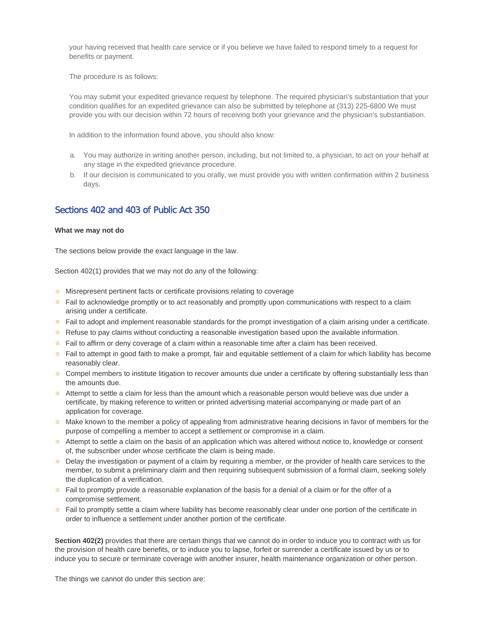your having received that health care service or if you believe we have failed to respond timely to a request for benefits or payment.

The procedure is as follows:

You may submit your expedited grievance request by telephone. The required physician's substantiation that your condition qualifies for an expedited grievance can also be submitted by telephone at (313) 225-6800 We must provide you with our decision within 72 hours of receiving both your grievance and the physician's substantiation.

In addition to the information found above, you should also know:

- a. You may authorize in writing another person, including, but not limited to, a physician, to act on your behalf at any stage in the expedited grievance procedure.
- b. If our decision is communicated to you orally, we must provide you with written confirmation within 2 business days.

# Sections 402 and 403 of Public Act 350

#### **What we may not do**

The sections below provide the exact language in the law.

Section 402(1) provides that we may not do any of the following:

- **EXECT** Misrepresent pertinent facts or certificate provisions relating to coverage
- **Fail to acknowledge promptly or to act reasonably and promptly upon communications with respect to a claim** arising under a certificate.
- Fail to adopt and implement reasonable standards for the prompt investigation of a claim arising under a certificate.
- Refuse to pay claims without conducting a reasonable investigation based upon the available information.
- **Fail to affirm or deny coverage of a claim within a reasonable time after a claim has been received.**
- Fail to attempt in good faith to make a prompt, fair and equitable settlement of a claim for which liability has become reasonably clear.
- **EXECOMPED MEMBERS TO institute litigation to recover amounts due under a certificate by offering substantially less than** the amounts due.
- Attempt to settle a claim for less than the amount which a reasonable person would believe was due under a certificate, by making reference to written or printed advertising material accompanying or made part of an application for coverage.
- **Make known to the member a policy of appealing from administrative hearing decisions in favor of members for the** purpose of compelling a member to accept a settlement or compromise in a claim.
- Attempt to settle a claim on the basis of an application which was altered without notice to, knowledge or consent of, the subscriber under whose certificate the claim is being made.
- **EXECT** Delay the investigation or payment of a claim by requiring a member, or the provider of health care services to the member, to submit a preliminary claim and then requiring subsequent submission of a formal claim, seeking solely the duplication of a verification.
- Fail to promptly provide a reasonable explanation of the basis for a denial of a claim or for the offer of a compromise settlement.
- **Fail to promptly settle a claim where liability has become reasonably clear under one portion of the certificate in** order to influence a settlement under another portion of the certificate.

**Section 402(2)** provides that there are certain things that we cannot do in order to induce you to contract with us for the provision of health care benefits, or to induce you to lapse, forfeit or surrender a certificate issued by us or to induce you to secure or terminate coverage with another insurer, health maintenance organization or other person.

The things we cannot do under this section are: